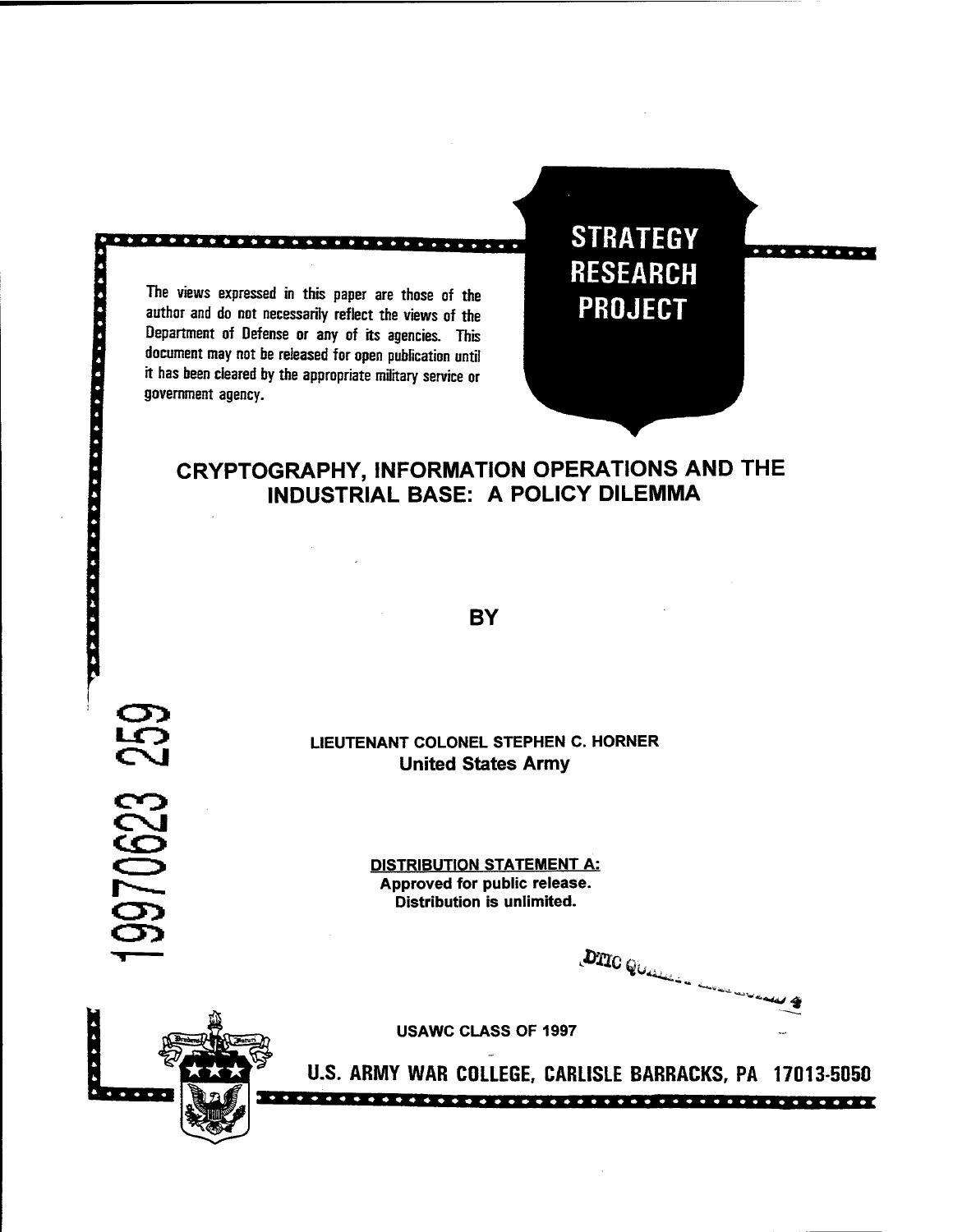**The views expressed in this paper are those of the author and do not necessarily reflect the views of the Department of Defense or any of its agencies. This document may not be released for open publication until it has been cleared by the appropriate military senrice or government agency.** 

. . . . . . . . . . . . .

. . . . . . . .

259

9970623

**STRATEGY RESEARCH PROJECT** 

# **CRYPTOGRAPHY, INFORMATION OPERATIONS AND THE INDUSTRIAL BASE: A POLICY DILEMMA**

**BY** 

## **LIEUTENANT COLONEL STEPHEN C. HORNER United States Army**

**DISTRIBUTION STATEMENT A: Approved for public release. Distribution is unlimited.** 

DIIC QUALLA LONGINIA



**USAWC CLASS OF 1997** 

**U.S. ARMY WAR COLLEGE, CARLISLE BARRACKS, PA 17013-5050**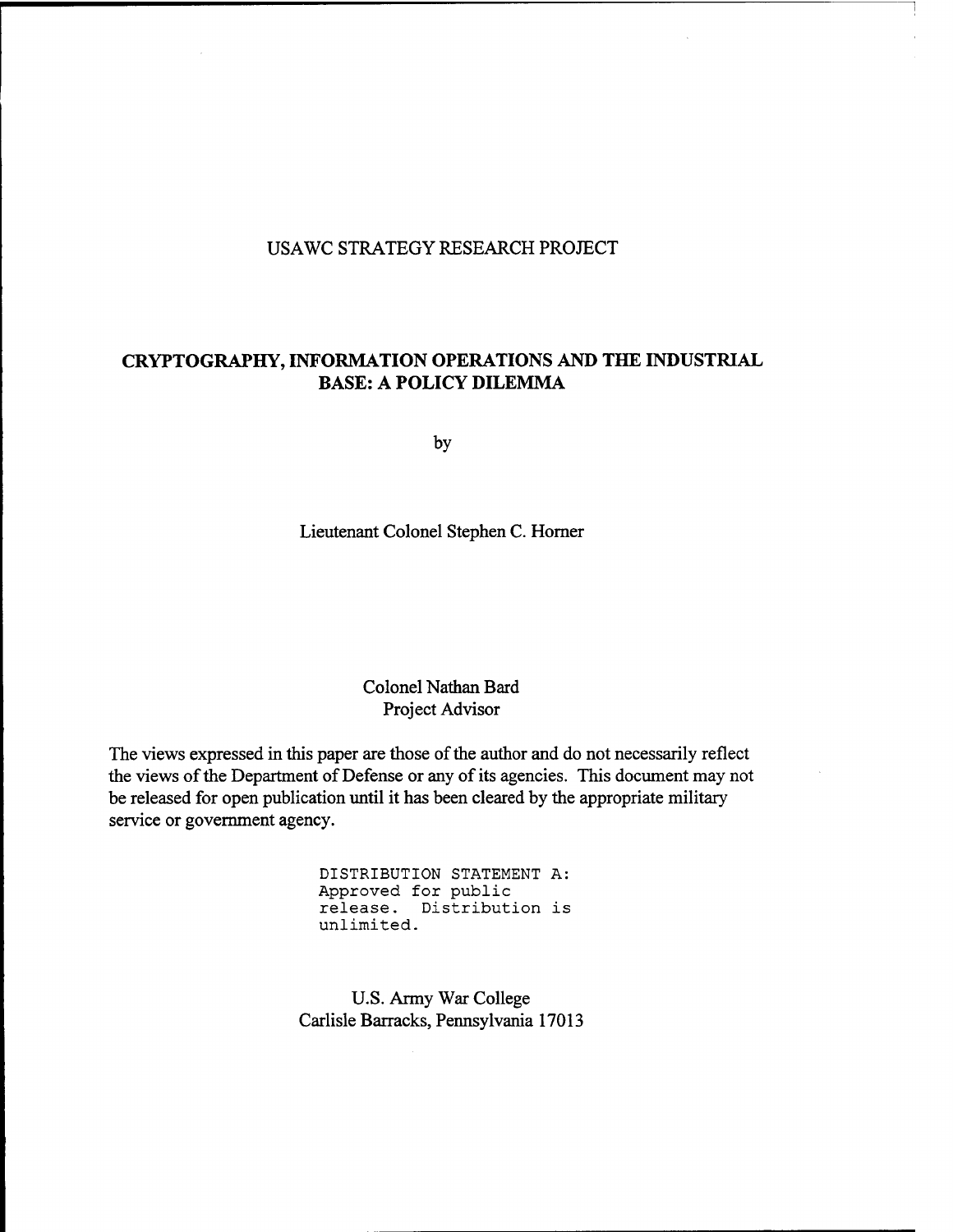## USAWC STRATEGY RESEARCH PROJECT

## **CRYPTOGRAPHY, INFORMATION OPERATIONS AND THE INDUSTRIAL BASE: A POLICY DILEMMA**

by

Lieutenant Colonel Stephen C. Homer

Colonel Nathan Bard Project Advisor

The views expressed in this paper are those of the author and do not necessarily reflect the views of the Department of Defense or any of its agencies. This document may not be released for open publication until it has been cleared by the appropriate military service or government agency.

> DISTRIBUTION STATEMENT A: Approved for public release. Distribution is unlimited.

U.S. Army War College Carlisle Barracks, Pennsylvania 17013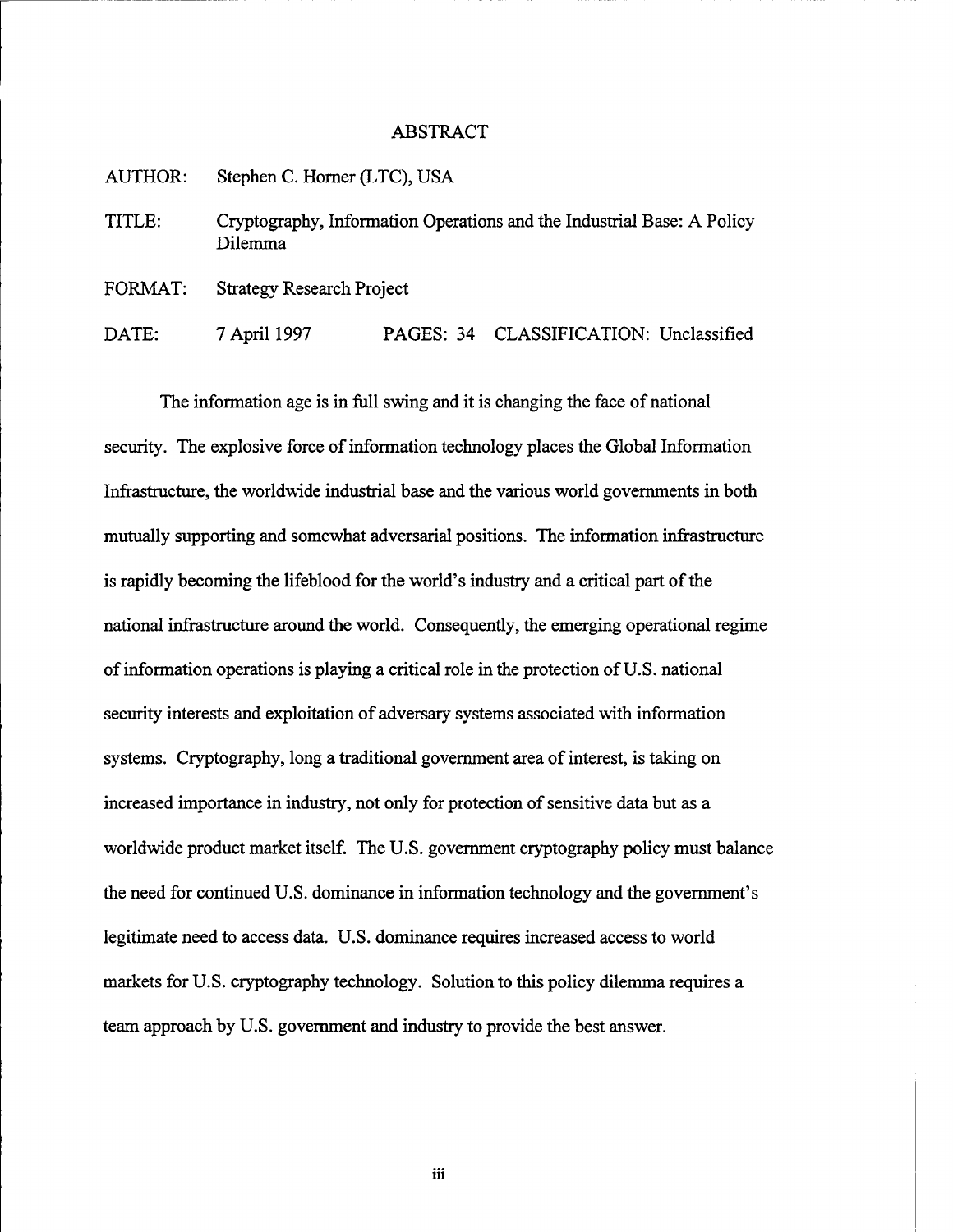#### ABSTRACT

AUTHOR: Stephen C. Homer (LTC), USA

TITLE: Cryptography, Information Operations and the Industrial Base: A Policy Dilemma

FORMAT: Strategy Research Project

DATE: 7 April 1997 PAGES: **34** CLASSIFICATION: Unclassified

The information age is in full swing and it is changing the face of national security. The explosive force of information technology places the Global Information Infrastructure, the worldwide industrial base and the various world governments in both mutually supporting and somewhat adversarial positions. The information infrastructure is rapidly becoming the lifeblood for the world's industry and a critical part of the national infrastructure around the world. Consequently, the emerging operational regime of information operations is playing a critical role in the protection of U.S. national security interests and exploitation of adversary systems associated with information systems. Cryptography, long a traditional government area of interest, is taking on increased importance in industry, not only for protection of sensitive data but as a worldwide product market itself. The U.S. government cryptography policy must balance the need for continued U.S. dominance in information technology and the government's legitimate need to access data. U.S. dominance requires increased access to world markets for U.S. cryptography technology. Solution to this policy dilemma requires a team approach by U.S. government and industry to provide the best answer.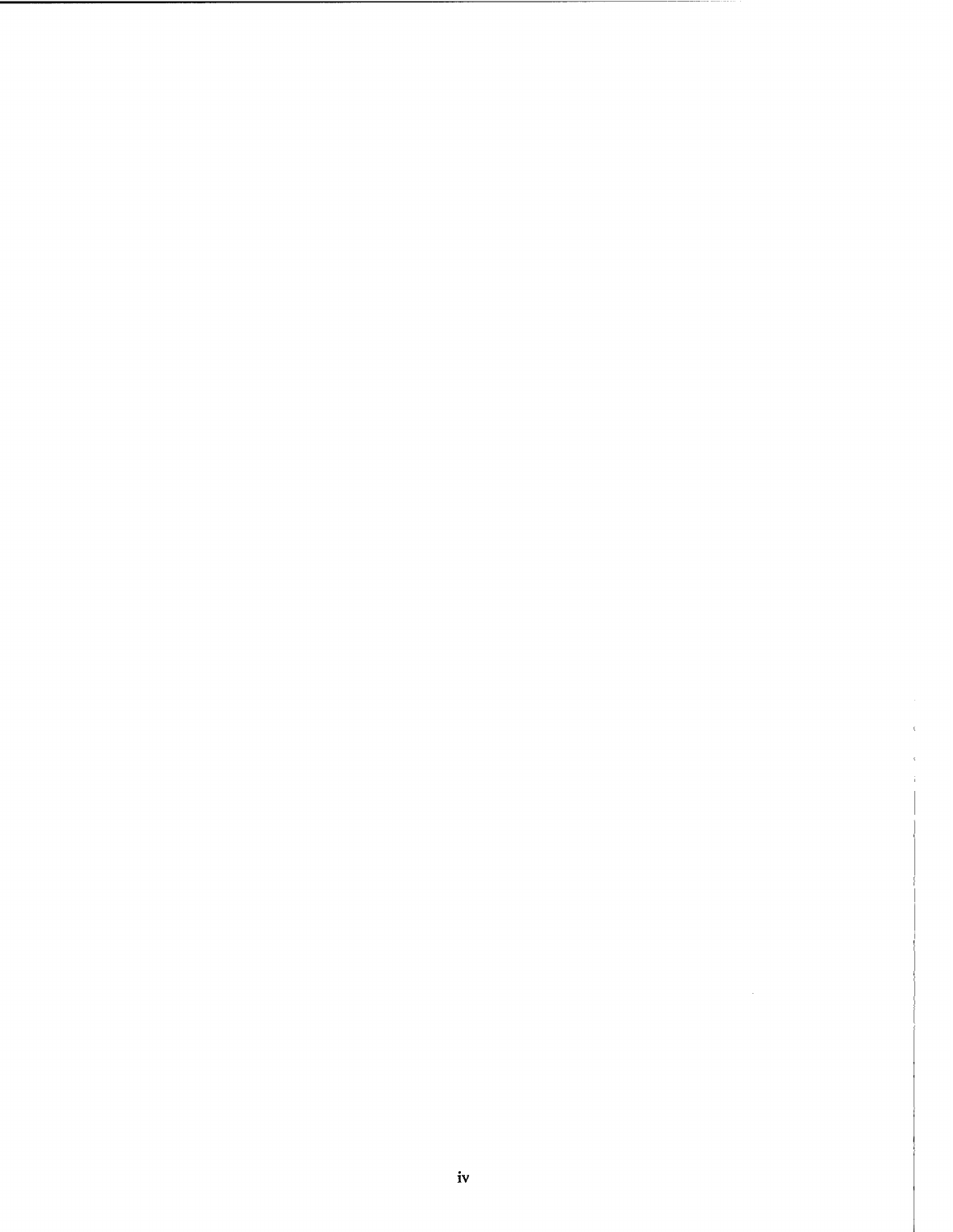$\mathbf{i}$  v

 $\bar{\lambda}$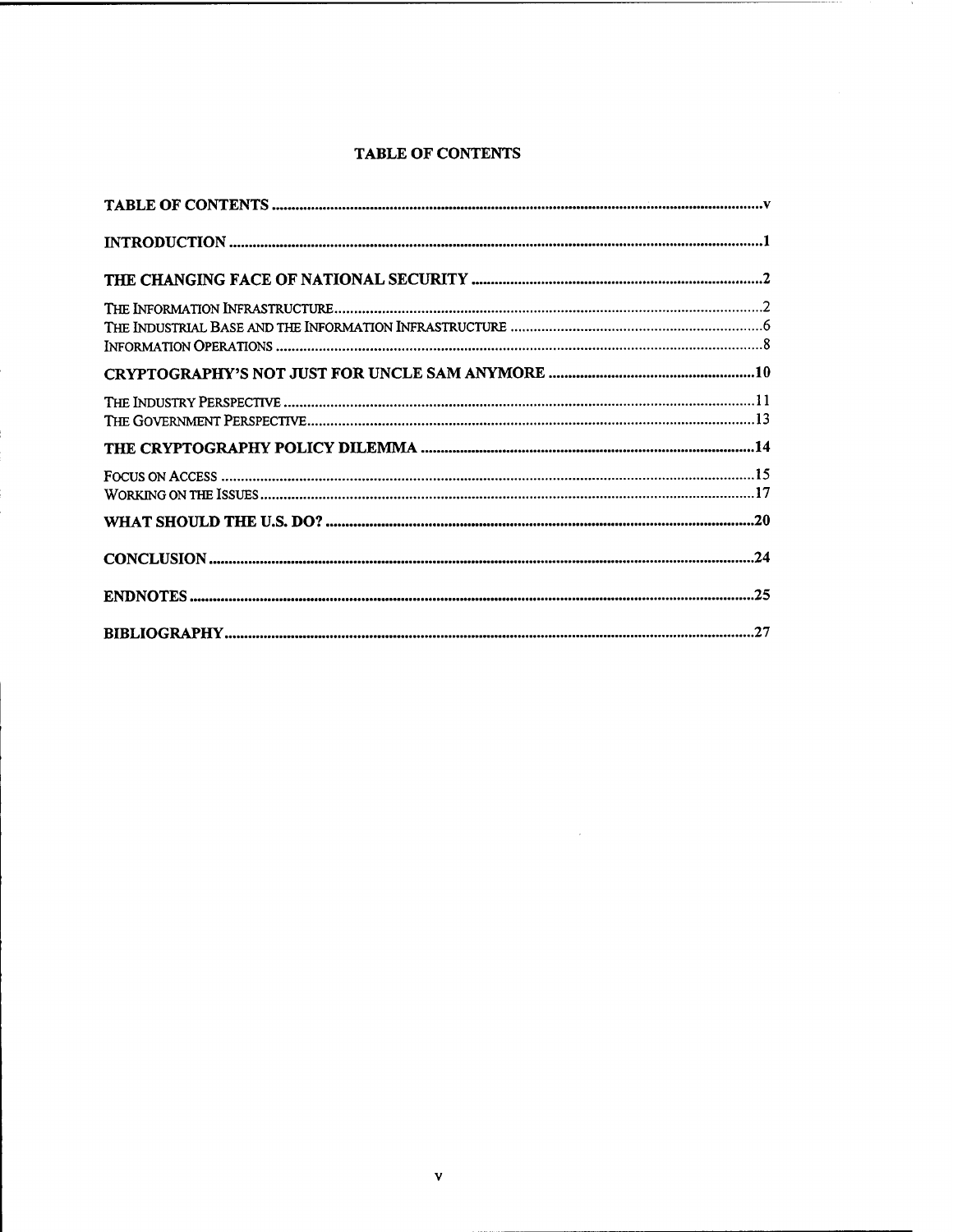## TABLE OF CONTENTS

| $\bf INTRODUCTION \,\,{} \dots \,\,{} \dots \,\,{} \dots \,\,{} \dots \,\,{} \dots \,\,{} \dots \,\,{} \dots \,\,{} \dots \,\,{} \dots \,\,{} \dots \,\,{} \dots \,\,{} \dots \,\,{} \dots \,\,{} \dots \,\,{} \dots \,\,{} \dots \,\,{} \dots \,\,{} \dots \,\,{} \dots \,\,{} \dots \,\,{} \dots \,\,{} \dots \,\,{} \dots \,\,{} \dots \,\,{} \dots \,\,{} \dots \,\,{} \dots \,\,{} \dots \,\,{} \dots \,\,{} \dots \,\,{} \dots \,\,{} \dots \,\,{} \dots \,\,{} \dots \,\,{} \dots \,\,{} \dots$ |  |
|--------------------------------------------------------------------------------------------------------------------------------------------------------------------------------------------------------------------------------------------------------------------------------------------------------------------------------------------------------------------------------------------------------------------------------------------------------------------------------------------------------|--|
|                                                                                                                                                                                                                                                                                                                                                                                                                                                                                                        |  |
|                                                                                                                                                                                                                                                                                                                                                                                                                                                                                                        |  |
|                                                                                                                                                                                                                                                                                                                                                                                                                                                                                                        |  |
|                                                                                                                                                                                                                                                                                                                                                                                                                                                                                                        |  |
|                                                                                                                                                                                                                                                                                                                                                                                                                                                                                                        |  |
|                                                                                                                                                                                                                                                                                                                                                                                                                                                                                                        |  |
|                                                                                                                                                                                                                                                                                                                                                                                                                                                                                                        |  |
|                                                                                                                                                                                                                                                                                                                                                                                                                                                                                                        |  |
|                                                                                                                                                                                                                                                                                                                                                                                                                                                                                                        |  |
|                                                                                                                                                                                                                                                                                                                                                                                                                                                                                                        |  |

 $\bar{z}$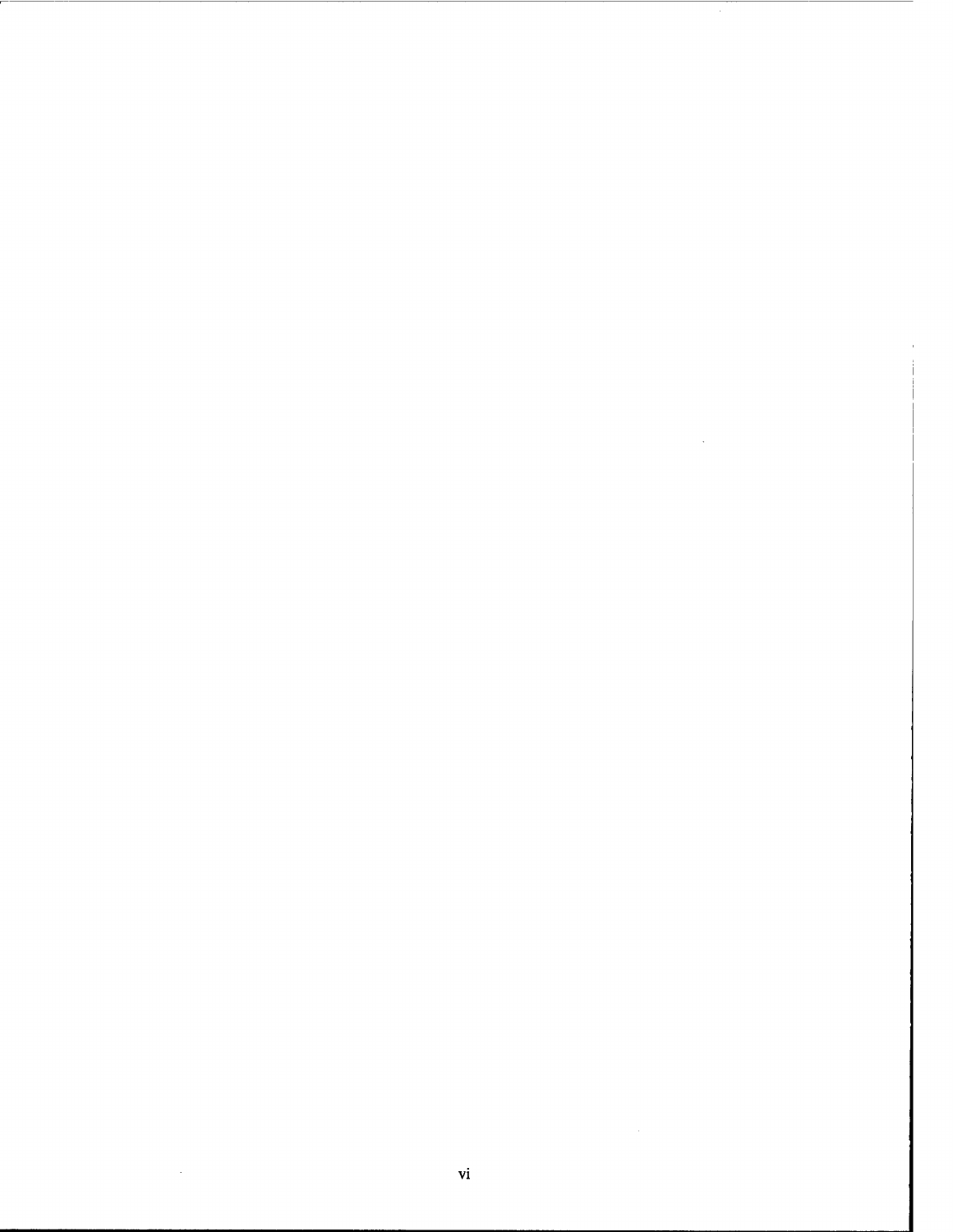$\mathbf{vi}$ 

 $\ddot{\phantom{a}}$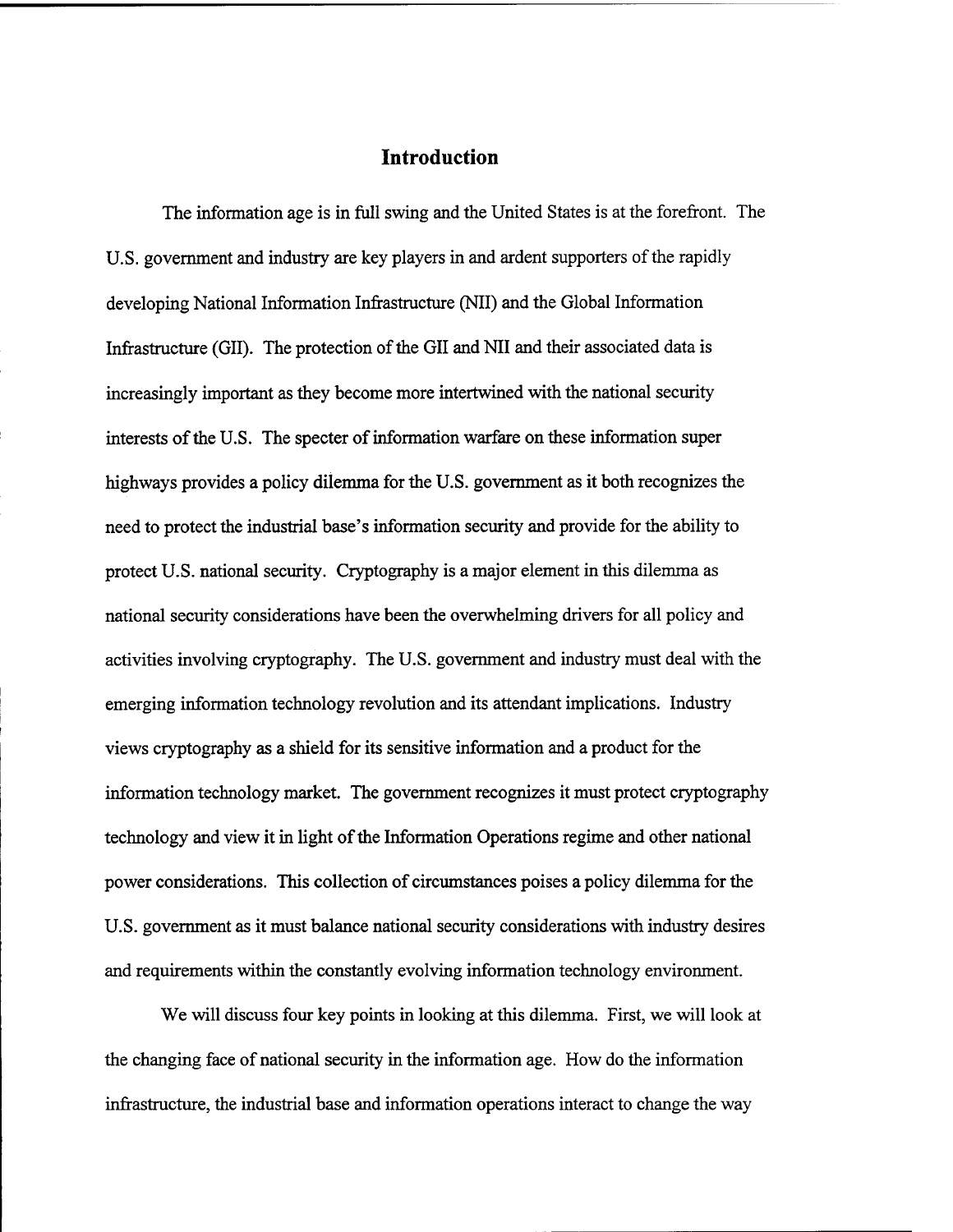# **Introduction**

The information age is in full swing and the United States is at the forefront. The U.S. government and industry are key players in and ardent supporters of the rapidly developing National Information Infrastructure (NII) and the Global Information Infrastructure (GII). The protection of the GI1 and NII and their associated data is increasingly important as they become more intertwined with the national security interests of the U.S. The specter of information warfare on these information super highways provides a policy dilemma for the U.S. government as it both recognizes the need to protect the industrial base's information security and provide for the ability to protect U.S. national security. Cryptography is a major element in this dilemma as national security considerations have been the overwhelming drivers for all policy and activities involving cryptography. The U.S. government and industry must deal with the emerging information technology revolution and its attendant implications. Industry views cryptography as a shield for its sensitive information and a product for the information technology market. The government recognizes it must protect cryptography technology and view it in light of the Information Operations regime and other national power considerations. This collection of circumstances poises a policy dilemma for the U.S. government as it must balance national security considerations with industry desires and requirements within the constantly evolving information technology environment.

We will discuss four key points in looking at this dilemma. First, we will look at the changing face of national security in the information age. How do the information infrastructure, the industrial base and information operations interact to change the way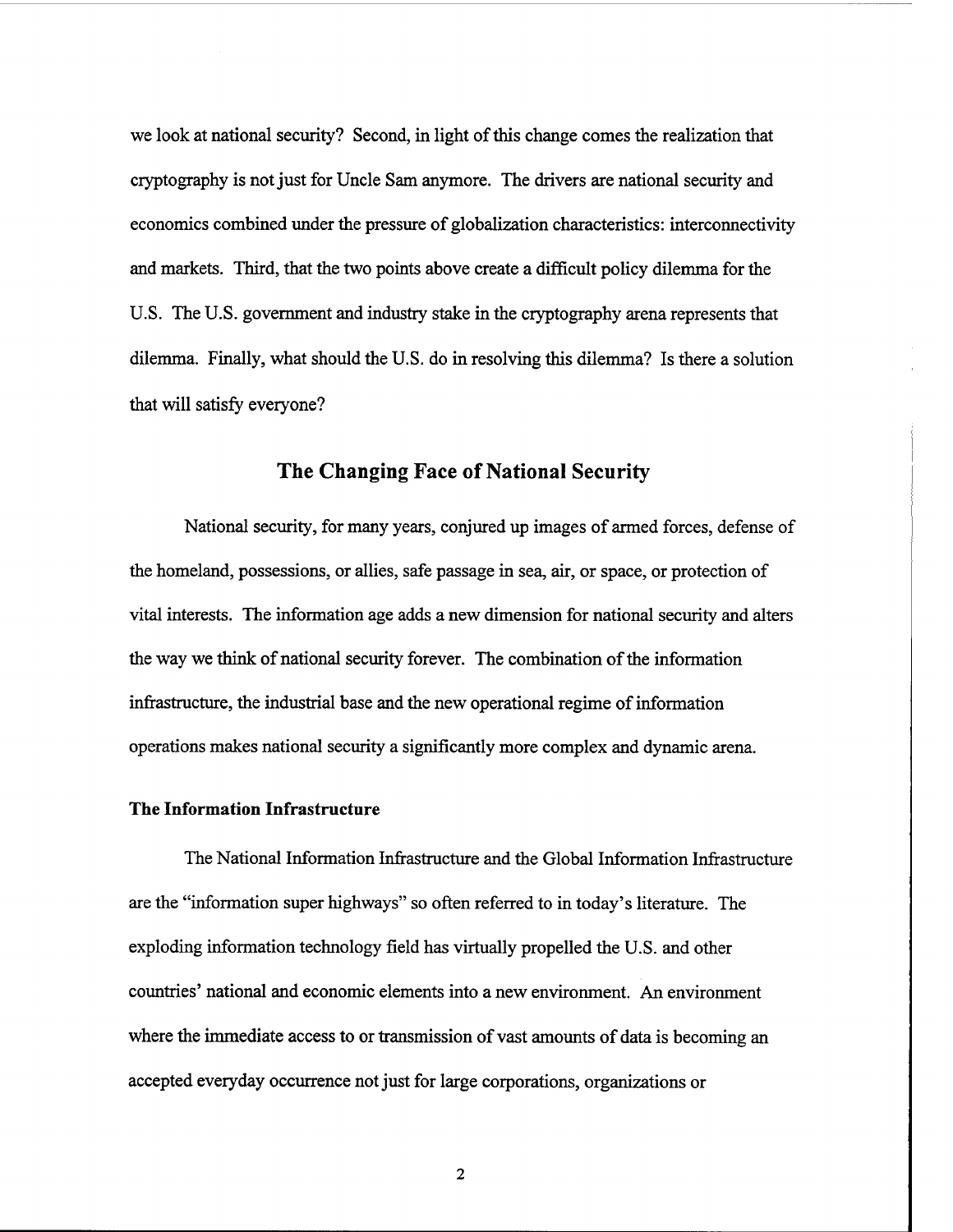we look at national security? Second, in light of this change comes the realization that cryptography is not just for Uncle Sam anymore. The drivers are national security and economics combined under the pressure of globalization characteristics: interconnectivity and markets. Third, that the two points above create a difficult policy dilemma for the U.S. The U.S. government and industry stake in the cryptography arena represents that dilemma. Finally, what should the U.S. do in resolving this dilemma? Is there a solution that will satisfy everyone?

# **The Changing Face of National Security**

National security, for many years, conjured up images of amed forces, defense of the homeland, possessions, or allies, safe passage in sea, air, or space, or protection of vital interests. The information age adds a new dimension for national security and alters the way we think of national security forever. The combination of the infonnation infrastructure, the industrial base and the new operational regime of infonnation operations makes national security a significantly more complex and dynamic arena.

#### **The Information Infrastructure**

The National Information Infrastructure and the Global Information Infrastructure are the "information super highways" so often referred to in today's literature. The exploding information technology field has virtually propelled the U.S. and other countries' national and economic elements into a new environment. An environment where the immediate access to or transmission of vast amounts of data is becoming an accepted everyday occurrence not just for large corporations, organizations or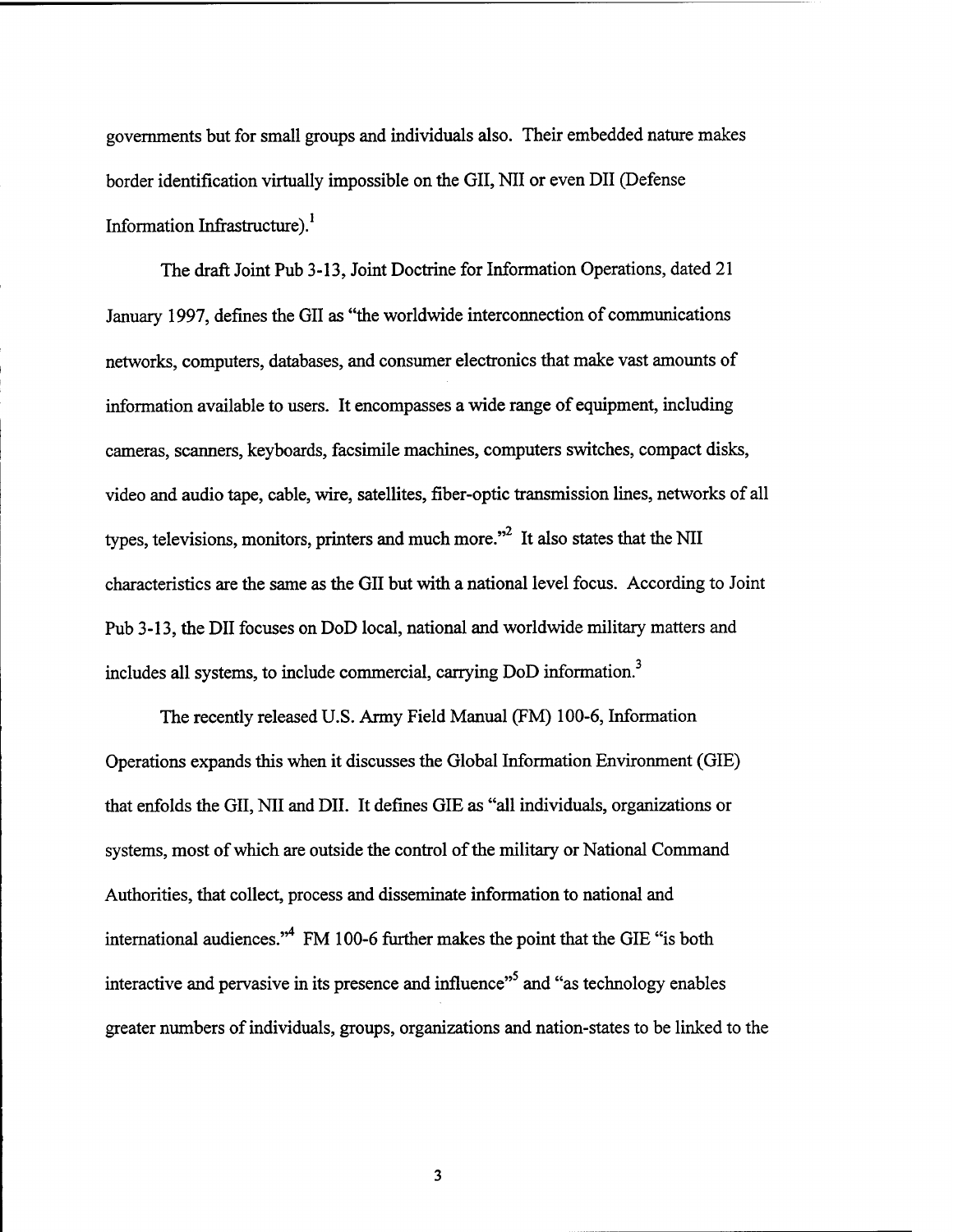govements but for small groups and individuals also. Their embedded nature makes border identification virtually impossible on the GII, NII or even DII (Defense Information Infrastructure).<sup>1</sup>

The draft Joint Pub 3-13, Joint Doctrine for Information Operations, dated 21 January 1997, defines the GI1 as "the worldwide interconnection of communications networks, computers, databases, and consumer electronics that make vast amounts of information available to users. It encompasses a wide range of equipment, including cameras, scanners, keyboards, facsimile machines, computers switches, compact disks, video and audio tape, cable, wire, satellites, fiber-optic transmission lines, networks of all types, televisions, monitors, printers and much more."<sup>2</sup> It also states that the NII characteristics are the same as the GI1 but with a national level focus. According to Joint Pub 3-13, the DII focuses on DoD local, national and worldwide military matters and includes all systems, to include commercial, carrying DoD information.<sup>3</sup>

The recently released U.S. Army Field Manual (FM) 100-6, Information Operations expands this when it discusses the Global Information Environment (GIE) that enfolds the GII, NII and DII. It defines GIE as "all individuals, organizations or systems, most of which are outside the control of the military or National Command Authorities, that collect, process and disseminate information to national and international audiences."<sup>4</sup> FM 100-6 further makes the point that the GIE "is both interactive and pervasive in its presence and influence<sup>35</sup> and "as technology enables" greater numbers of individuals, groups, organizations and nation-states to be linked to the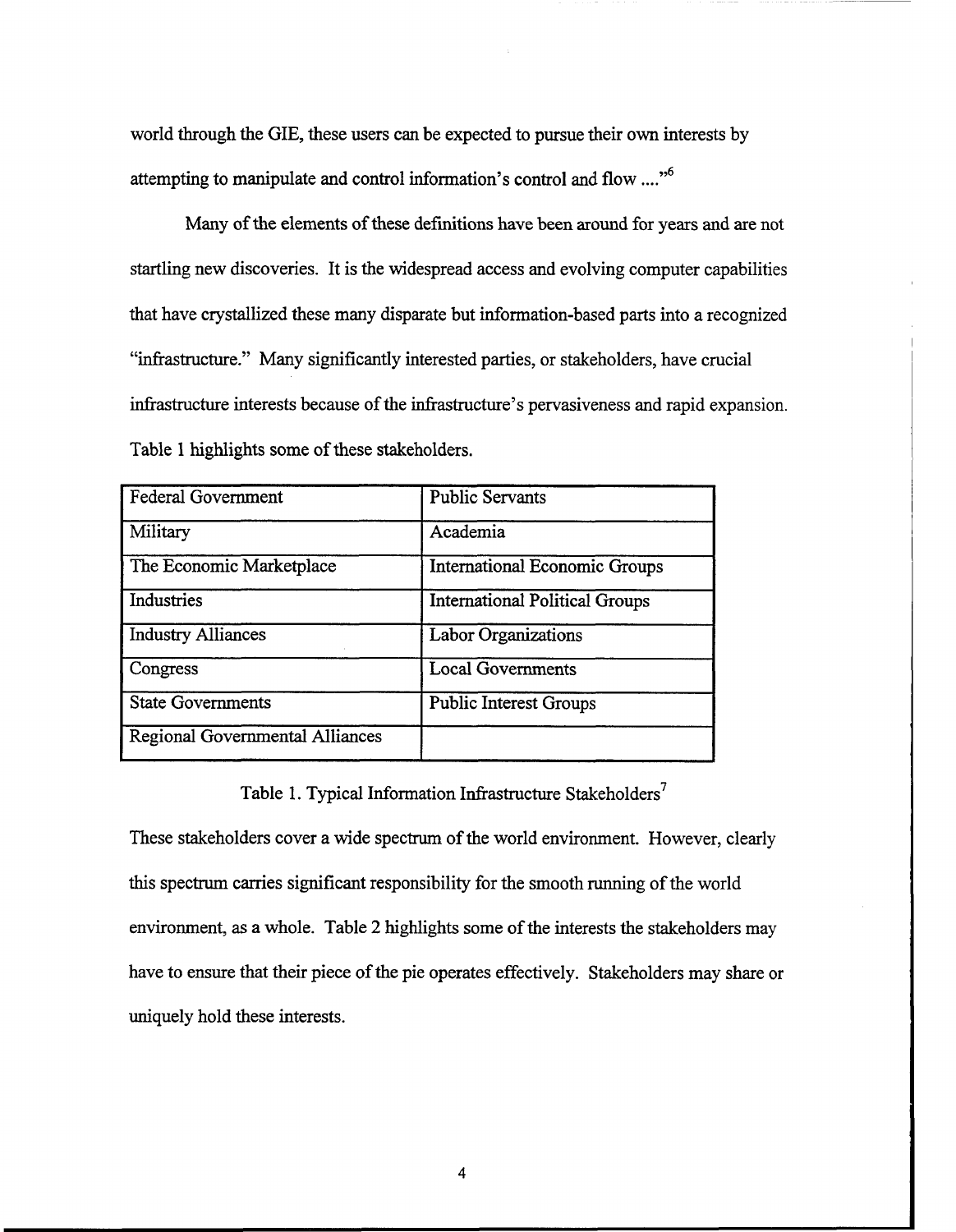world through the GIE, these users can be expected to pursue their own interests by attempting to manipulate and control information's control and flow *...."6* 

Many of the elements of these definitions have been around for years and are not startling new discoveries. It is the widespread access and evolving computer capabilities that have crystallized these many disparate but information-based parts into a recognized "infrastructure." Many significantly interested parties, or stakeholders, have crucial infrastructure interests because of the infrastructure's pervasiveness and rapid expansion. Table 1 highlights some of these stakeholders.

| <b>Federal Government</b>       | <b>Public Servants</b>                |
|---------------------------------|---------------------------------------|
| Military                        | Academia                              |
| The Economic Marketplace        | <b>International Economic Groups</b>  |
| Industries                      | <b>International Political Groups</b> |
| <b>Industry Alliances</b>       | <b>Labor Organizations</b>            |
| Congress                        | <b>Local Governments</b>              |
| <b>State Governments</b>        | <b>Public Interest Groups</b>         |
| Regional Governmental Alliances |                                       |

Table 1. Typical Information Infrastructure Stakeholders<sup>7</sup>

These stakeholders cover a wide spectrum of the world environment. However, clearly this spectrum carries significant responsibility for the smooth running of the world environment, as a whole. Table 2 highlights some of the interests the stakeholders may have to ensure that their piece of the pie operates effectively. Stakeholders may share or uniquely hold these interests.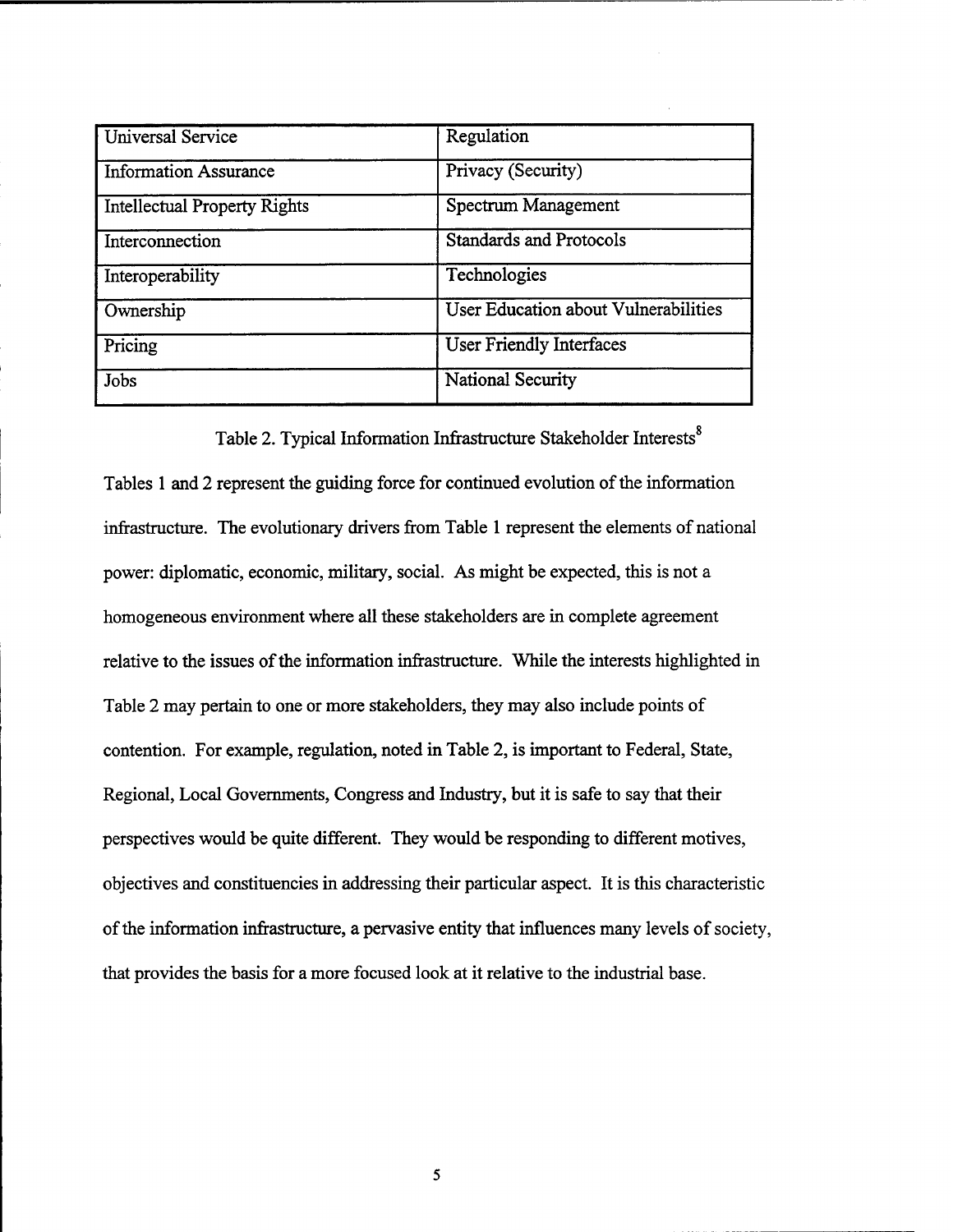| Universal Service                   | Regulation                           |
|-------------------------------------|--------------------------------------|
| <b>Information Assurance</b>        | Privacy (Security)                   |
| <b>Intellectual Property Rights</b> | Spectrum Management                  |
| Interconnection                     | <b>Standards and Protocols</b>       |
| Interoperability                    | Technologies                         |
| Ownership                           | User Education about Vulnerabilities |
| Pricing                             | <b>User Friendly Interfaces</b>      |
| Jobs                                | <b>National Security</b>             |
|                                     |                                      |

Table 2. Typical Information Infrastructure Stakeholder Interests<sup>8</sup> Tables 1 and 2 represent the guiding force for continued evolution of the information infrastructure. The evolutionary drivers from Table 1 represent the elements of national power: diplomatic, economic, military, social. As might be expected, this is not a homogeneous environment where all these stakeholders are in complete agreement relative to the issues of the information infrastructure. While the interests highlighted in Table 2 may pertain to one or more stakeholders, they may also include points of contention. For example, regulation, noted in Table 2, is important to Federal, State, Regional, Local Governments, Congress and Industry, but it is safe to say that their perspectives would be quite different. They would be responding to different motives, objectives and constituencies in addressing their particular aspect. It is this characteristic of the information infrastructure, a pervasive entity that influences many levels of society, that provides the basis for a more focused look at it relative to the industrial base.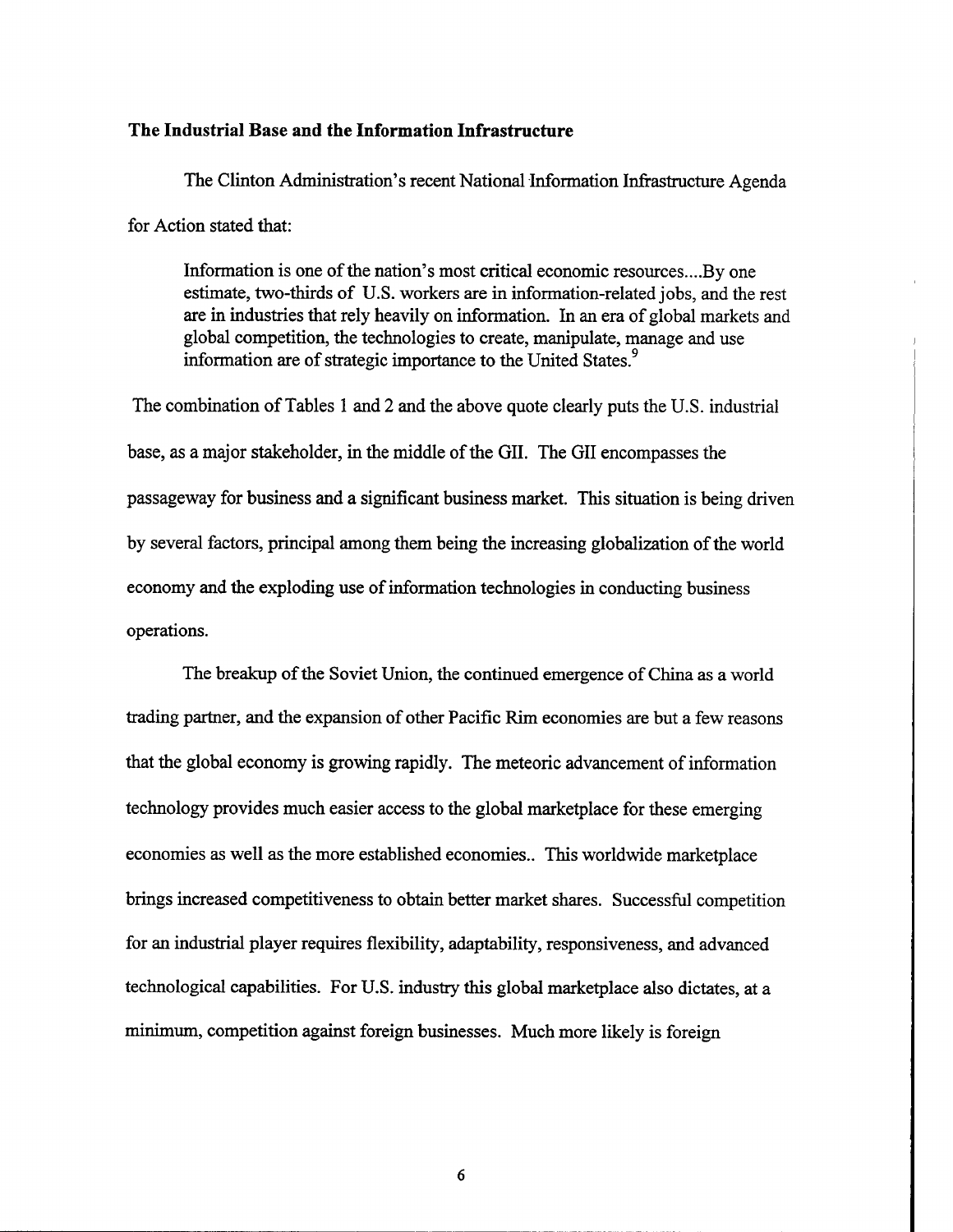#### **The Industrial Base and the Information Infrastructure**

The Clinton Administration's recent National Information Infrastructure Agenda for Action stated that:

Information is one of the nation's most critical economic resources .... By one estimate, two-thirds of U.S. workers are in information-related jobs, and the rest are in industries that rely heavily on information. In an era of global markets and global competition, the technologies to create, manipulate, manage and use information are of strategic importance to the United States.<sup>9</sup>

The combination of Tables 1 and 2 and the above quote clearly puts the U.S. industrial base, as a major stakeholder, in the middle of the GII. The GI1 encompasses the passageway for business and a significant business market. This situation is being driven by several factors, principal among them being the increasing globalization of the world economy and the exploding use of information technologies in conducting business operations.

The breakup of the Soviet Union, the continued emergence of China as a world trading partner, and the expansion of other Pacific Rim economies are but a few reasons that the global economy is growing rapidly. The meteoric advancement of information technology provides much easier access to the global marketplace for these emerging economies as well as the more established economies.. This worldwide marketplace brings increased competitiveness to obtain better market shares. Successful competition for an industrial player requires flexibility, adaptability, responsiveness, and advanced technological capabilities. For U.S. industry this global marketplace also dictates, at a minimum, competition against foreign businesses. Much more likely is foreign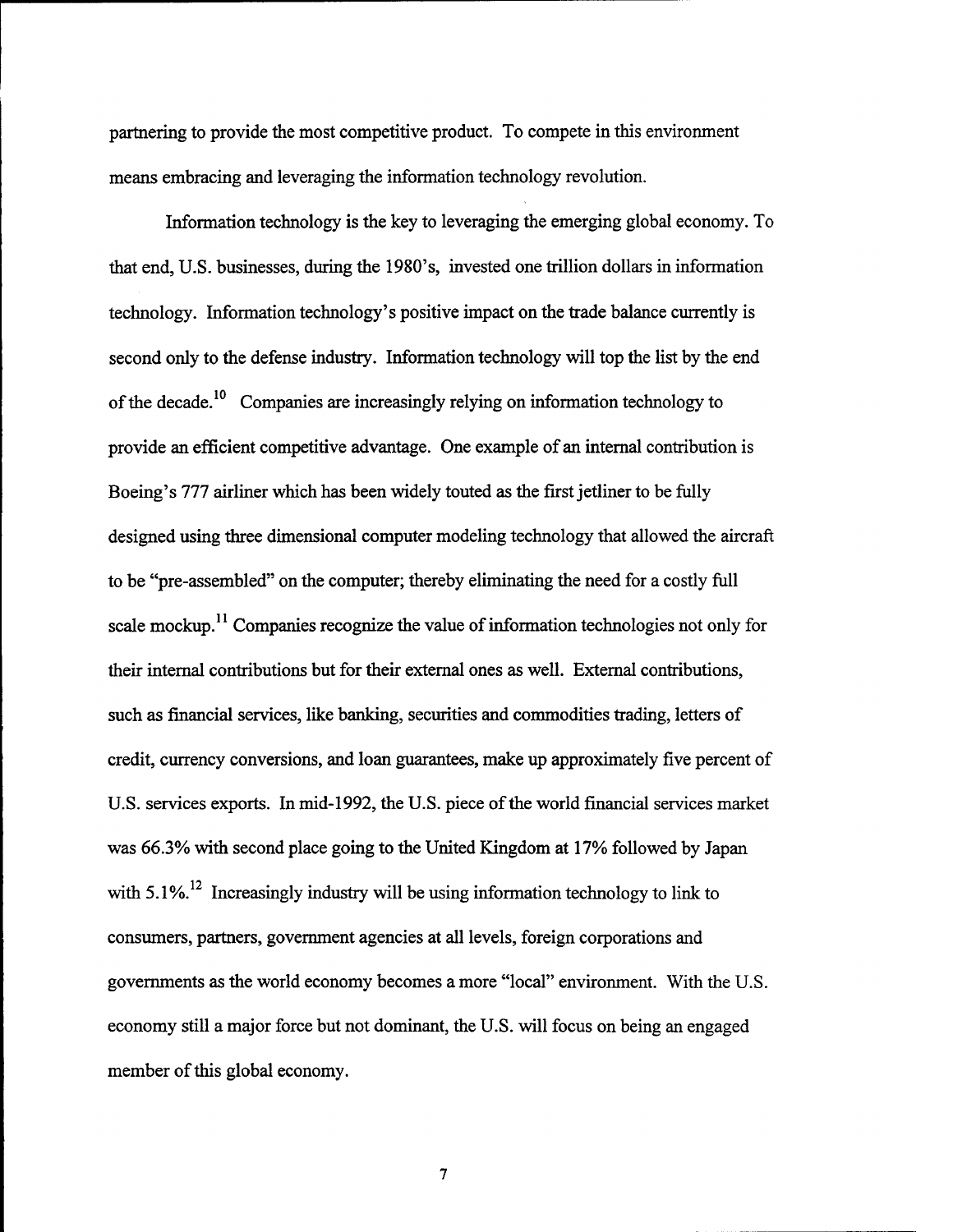partnering to provide the most competitive product. To compete in this environment means embracing and leveraging the information technology revolution.

Information technology is the key to leveraging the emerging global economy. To that end, **U.S.** businesses, during the 1980's, invested one trillion dollars in information technology. Information technology's positive impact on the trade balance currently is second only to the defense industry. Information technology will top the list by the end of the decade.<sup>10</sup> Companies are increasingly relying on information technology to provide an efficient competitive advantage. One example of an internal contribution is Boeing's **777** airliner which has been widely touted as the first jetliner to be fully designed using three dimensional computer modeling technology that allowed the aircraft to be "pre-assembled" on the computer; thereby eliminating the need for a costly full scale mockup.<sup>11</sup> Companies recognize the value of information technologies not only for their internal contributions but for their external ones **as** well. External contributions, such **as** financial services, like banking, securities and commodities trading, letters of credit, currency conversions, and loan guarantees, make up approximately five percent of **U.S.** services exports. In mid-1992, the **U.S.** piece of the world financial services market was *66.3%* with second place going to the United Kingdom at **17%** followed by Japan with 5.1%.<sup>12</sup> Increasingly industry will be using information technology to link to consumers, partners, government agencies at all levels, foreign corporations and governments as the world economy becomes a more "local" environment. With the U.S. economy still a major force but not dominant, the **U.S.** will focus on being an engaged member of this global economy.

 $\overline{7}$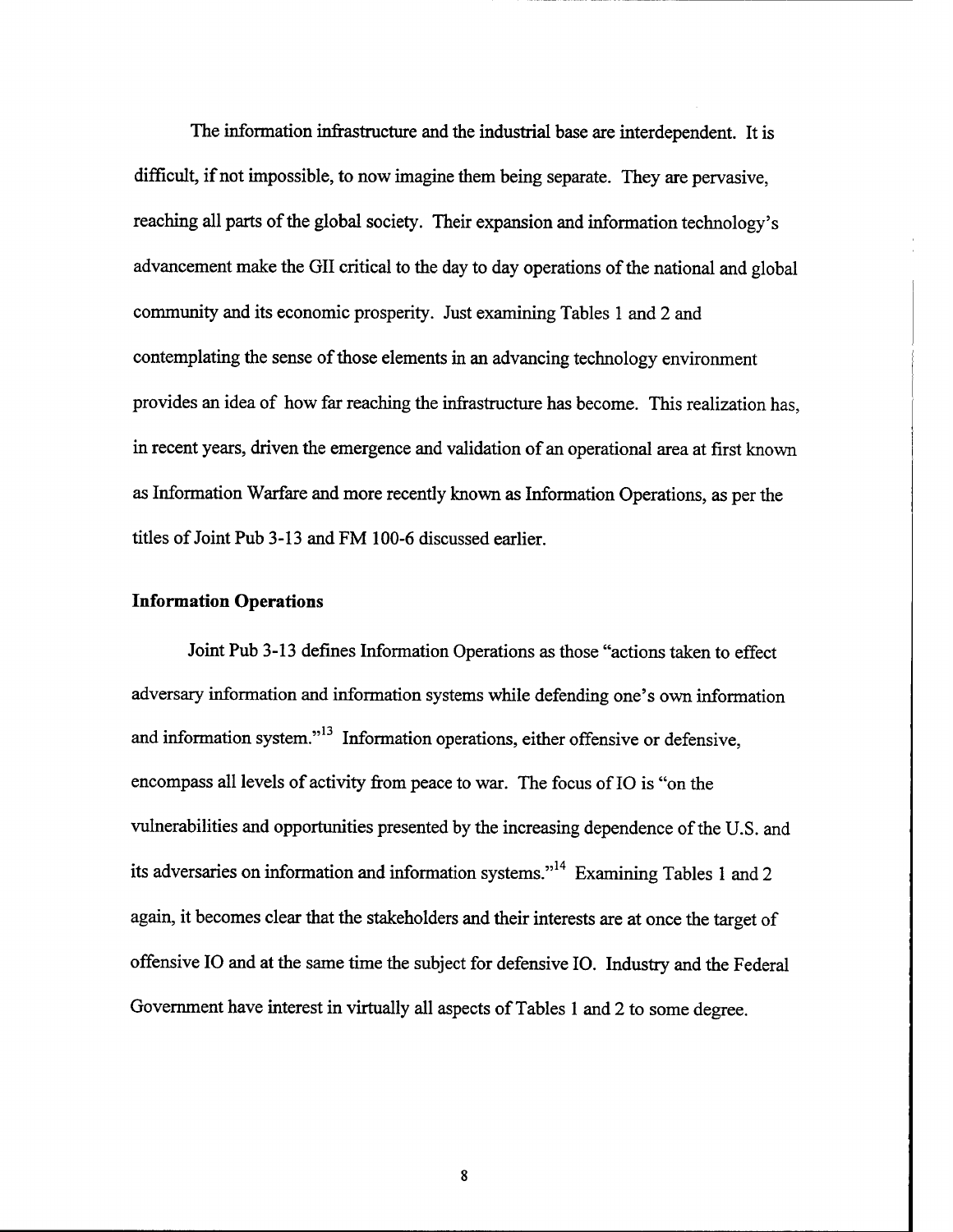The information infrastructure and the industrial base are interdependent. It is difficult, if not impossible, to now imagine them being separate. They are pervasive, reaching all parts of the global society. Their expansion and information technology's advancement make the GI1 critical to the day to day operations of the national and global community and its economic prosperity. Just examining Tables 1 and 2 and contemplating the sense of those elements in an advancing technology environment provides an idea of how far reaching the infrastructure has become. This realization has, in recent years, driven the emergence and validation of an operational area at first known as Information Warfare and more recently known as Information Operations, as per the titles of Joint Pub 3-13 and FM 100-6 discussed earlier.

#### **Information Operations**

Joint Pub 3-13 defines Information Operations as those "actions taken to effect adversary information and information systems while defending one's own information and information system."<sup>13</sup> Information operations, either offensive or defensive. encompass all levels of activity fiom peace to war. The focus of I0 is "on the vulnerabilities and opportunities presented by the increasing dependence of the U.S. and its adversaries on information and information systems."<sup>14</sup> Examining Tables 1 and 2 again, it becomes clear that the stakeholders and their interests are at once the target of offensive I0 and at the same time the subject for defensive 10. Industry and the Federal Government have interest in virtually all aspects of Tables 1 and 2 to some degree.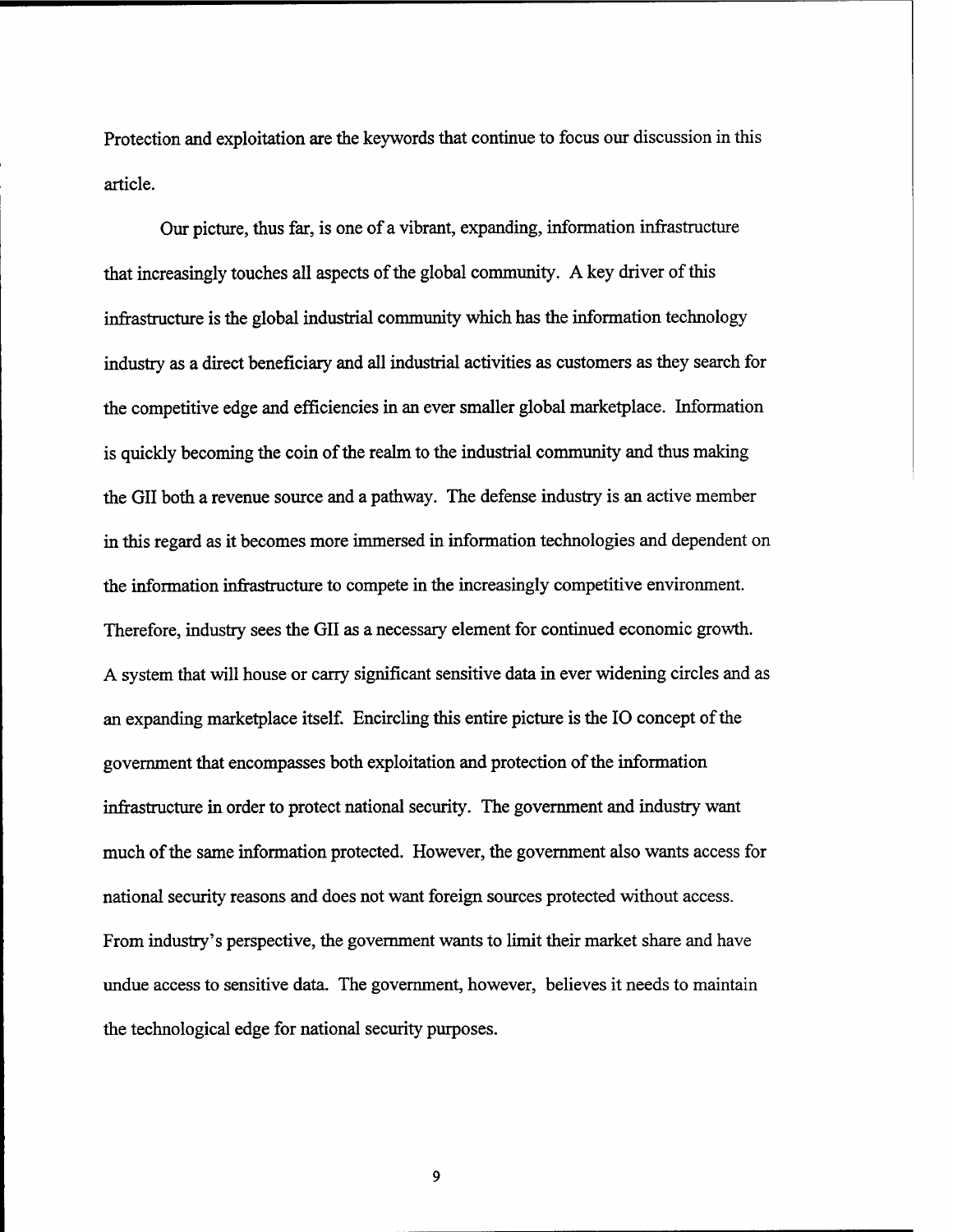Protection and exploitation are the keywords that continue to focus our discussion in this article.

Our picture, thus far, is one of a vibrant, expanding, information infrastructure that increasingly touches all aspects of the global community. **A** key driver of this infrastructure is the global industrial community which has the information technology industry as a direct beneficiary and all industrial activities as customers as they search for the competitive edge and efficiencies in an ever smaller global marketplace. Information is quickly becoming the coin of the realm to the industrial community and thus making the GI1 both a revenue source and a pathway. The defense industry is an active member in this regard as it becomes more immersed in information technologies and dependent on the information infrastructure to compete in the increasingly competitive environment. Therefore, industry sees the GI1 as a necessary element for continued economic growth. **A** system that will house or carry significant sensitive data in ever widening circles and as an expanding marketplace itself. Encircling this entire picture is the I0 concept of the government that encompasses both exploitation and protection of the information infrastructure in order to protect national security. The government and industry want much of the same information protected. However, the government also wants access for national security reasons and does not want foreign sources protected without access. From industry's perspective, the government wants to limit their market share and have undue access to sensitive data. The government, however, believes it needs to maintain the technological edge for national security purposes.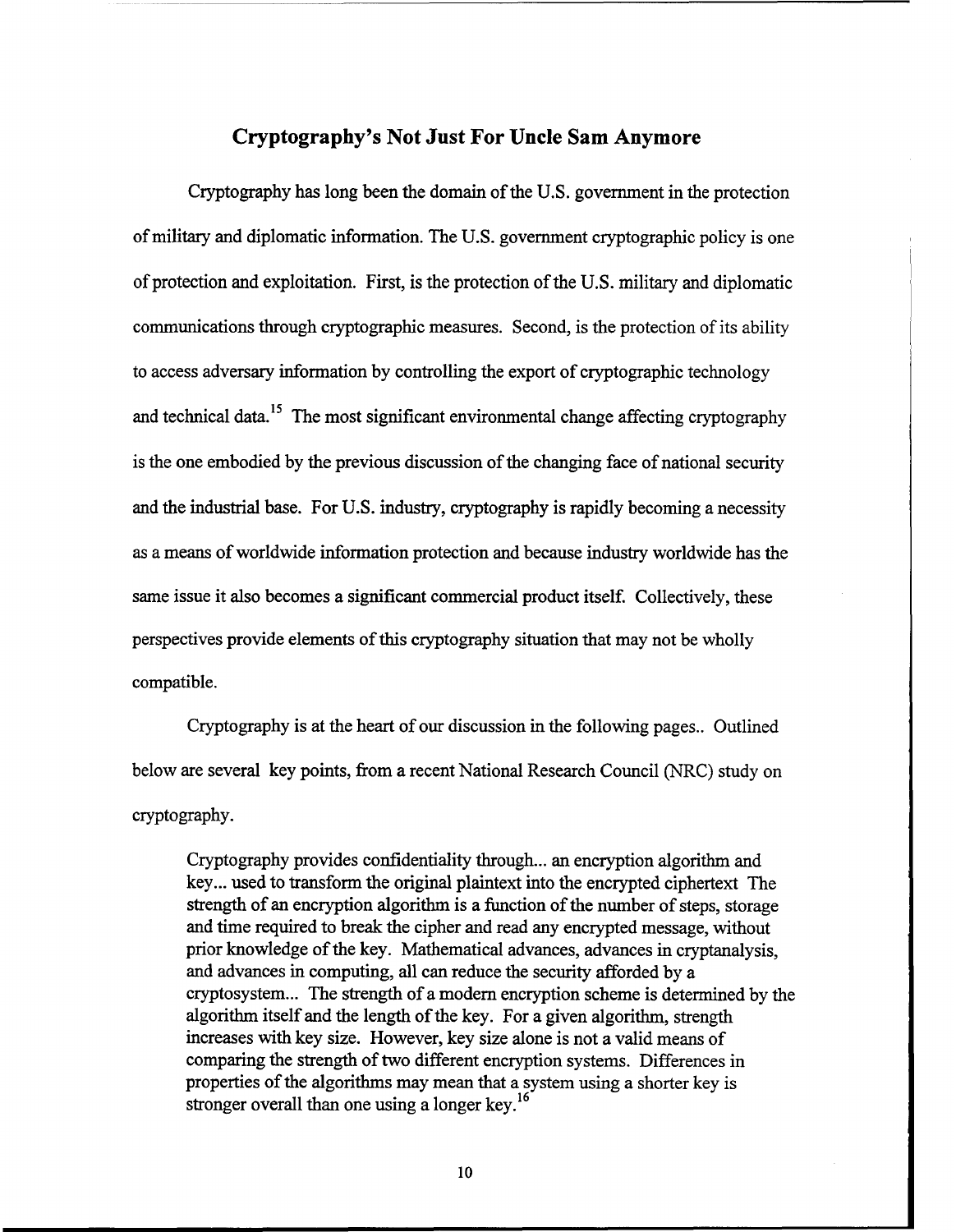## **Cryptography's Not Just For Uncle Sam Anymore**

Cryptography has long been the domain of the U.S. government in the protection of military and diplomatic information. The U.S. government cryptographic policy is one of protection and exploitation. First, is the protection of the **U.S.** military and diplomatic communications through cryptographic measures. Second, is the protection of its ability to access adversary information by controlling the export of cryptographic technology and technical data.<sup>15</sup> The most significant environmental change affecting cryptography is the one embodied by the previous discussion of the changing face of national security and the industrial base. For U.S. industry, cryptography is rapidly becoming a necessity as a means of worldwide information protection and because industry worldwide has the same issue it also becomes a significant commercial product itself. Collectively, these perspectives provide elements of this cryptography situation that may not be wholly compatible.

Cryptography is at the heart of our discussion in the following pages.. Outlined below are several key points, from a recent National Research Council (NRC) study on cryptography.

Cryptography provides confidentiality through... an encryption algorithm and key ... used to transform the original plaintext into the encrypted ciphertext The strength of an encryption algorithm is a function of the number of steps, storage and time required to break the cipher and read any encrypted message, without prior knowledge of the key. Mathematical advances, advances in cryptanalysis, and advances in computing, all can reduce the security afforded by a cryptosystem ... The strength of a modem encryption scheme is determined by the algorithm itself and the length of the key. For a given algorithm, strength increases with key size. However, key size alone is not a valid means of comparing the strength of two different encryption systems. Differences in properties of the algorithms may mean that a system using a shorter key is stronger overall than one using a longer key.<sup>16</sup>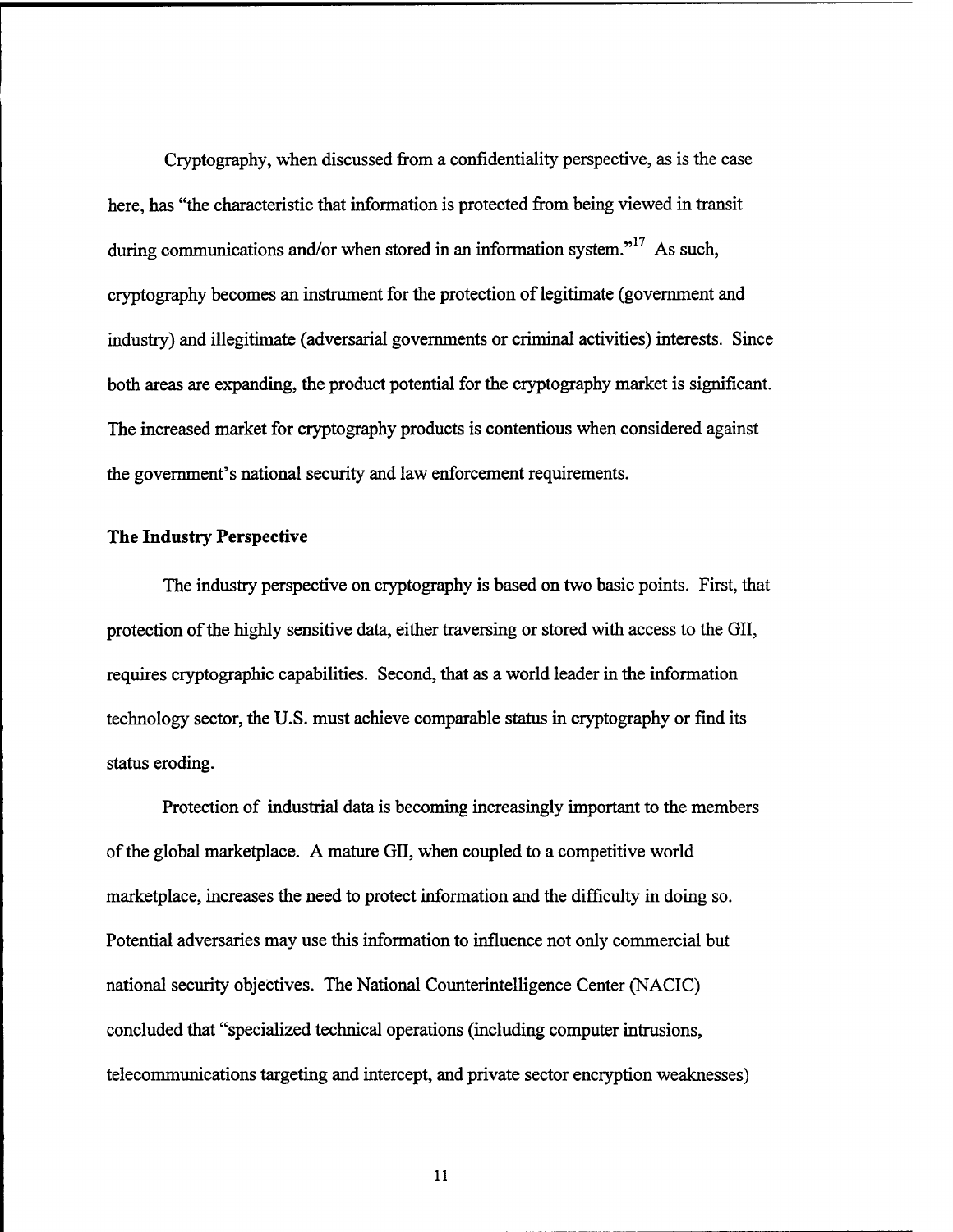Cryptography, when discussed fiom a confidentiality perspective, as is the case here, has "the characteristic that information is protected fiom being viewed in transit during communications and/or when stored in an information system."<sup>17</sup> As such, cryptography becomes an instrument for the protection of legitimate (government and industry) and illegitimate (adversarial governments or criminal activities) interests. Since both areas are expanding, the product potential for the cryptography market is significant. The increased market for cryptography products is contentious when considered against the government's national security and law enforcement requirements.

## **The Industry Perspective**

The industry perspective on cryptography is based on two basic points. First, that protection of the highly sensitive data, either traversing or stored with access to the GII, requires cryptographic capabilities. Second, that as a world leader in the information technology sector, the U.S. must achieve comparable status in cryptography or find its status eroding.

Protection of industrial data is becoming increasingly important to the members of the global marketplace. A mature GII, when coupled to a competitive world marketplace, increases the need to protect information and the difficulty in doing so. Potential adversaries may use this information to influence not only commercial but national security objectives. The National Counterintelligence Center (NACIC) concluded that "specialized technical operations (including computer intrusions, telecommunications targeting and intercept, and private sector encryption weaknesses)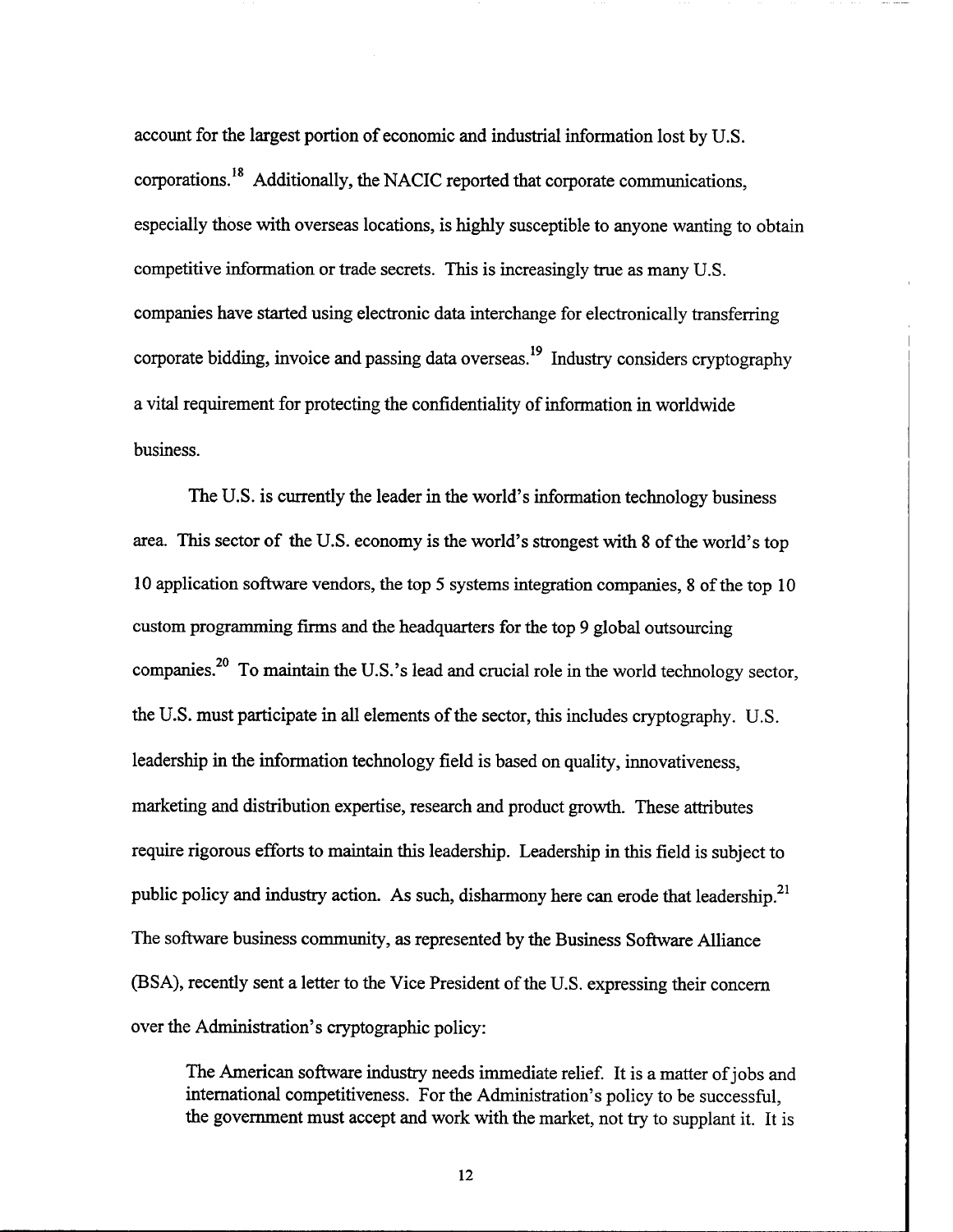account for the largest portion of economic and industrial information lost by U.S. corporations.<sup>18</sup> Additionally, the NACIC reported that corporate communications, especially those with overseas locations, is highly susceptible to anyone wanting to obtain competitive information or trade secrets. This is increasingly true as many U.S. companies have started using electronic data interchange for electronically transferring corporate bidding, invoice and passing data overseas.<sup>19</sup> Industry considers cryptography a vital requirement for protecting the confidentiality of information in worldwide business.

The U.S. is currently the leader in the world's information technology business area. This sector of the U.S. economy is the world's strongest with 8 of the world's top 10 application software vendors, the top 5 systems integration companies, 8 of the top 10 custom programming firms and the headquarters for the top 9 global outsourcing companies.<sup>20</sup> To maintain the U.S.'s lead and crucial role in the world technology sector, the U.S. must participate in all elements of the sector, this includes cryptography. U.S. leadership in the information technology field is based on quality, innovativeness, marketing and distribution expertise, research and product growth. These attributes require rigorous efforts to maintain this leadership. Leadership in this field is subject to public policy and industry action. As such, disharmony here can erode that leadership.<sup>21</sup> The software business community, as represented by the Business Software Alliance (BSA), recently sent a letter to the Vice President of the U.S. expressing their concern over the Administration's cryptographic policy:

The American software industry needs immediate relief. It is a matter of jobs and international competitiveness. For the Administration's policy to be successfid, the government must accept and work with the market, not try to supplant it. It is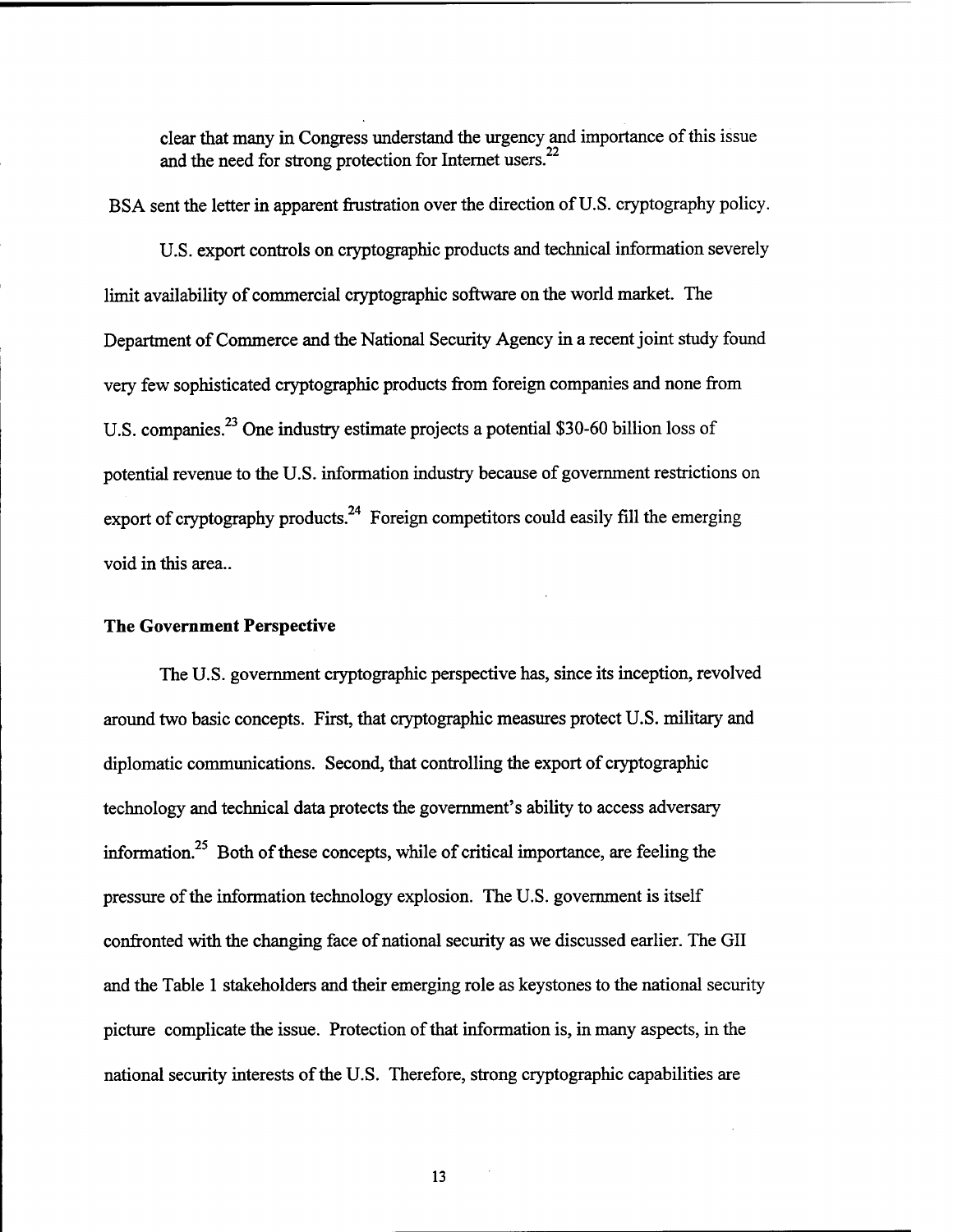clear that many in Congress understand the urgency and importance of this issue and the need for strong protection for Internet users.<sup>22</sup>

BSA sent the letter in apparent frustration over the direction of U.S. cryptography policy.

U.S. export controls on cryptographic products and technical information severely limit availability of commercial cryptographic software on the world market. The Department of Commerce and the National Security Agency in a recent joint study found very few sophisticated cryptographic products from foreign companies and none from U.S. companies.<sup>23</sup> One industry estimate projects a potential \$30-60 billion loss of potential revenue to the U.S. information industry because of government restrictions on export of cryptography products.<sup>24</sup> Foreign competitors could easily fill the emerging void in this area..

#### **The Government Perspective**

The U.S. government cryptographic perspective has, since its inception, revolved around two basic concepts. First, that cryptographic measures protect U.S. military and diplomatic communications. Second, that controlling the export of cryptographic technology and technical data protects the government's ability to access adversary information.<sup>25</sup> Both of these concepts, while of critical importance, are feeling the pressure of the information technology explosion. The U.S. government is itself confronted with the changing face of national security as we discussed earlier. The **GI1**  and the Table 1 stakeholders and their emerging role as keystones to the national security picture complicate the issue. Protection of that information is, in many aspects, in the national security interests of the U.S. Therefore, strong cryptographic capabilities are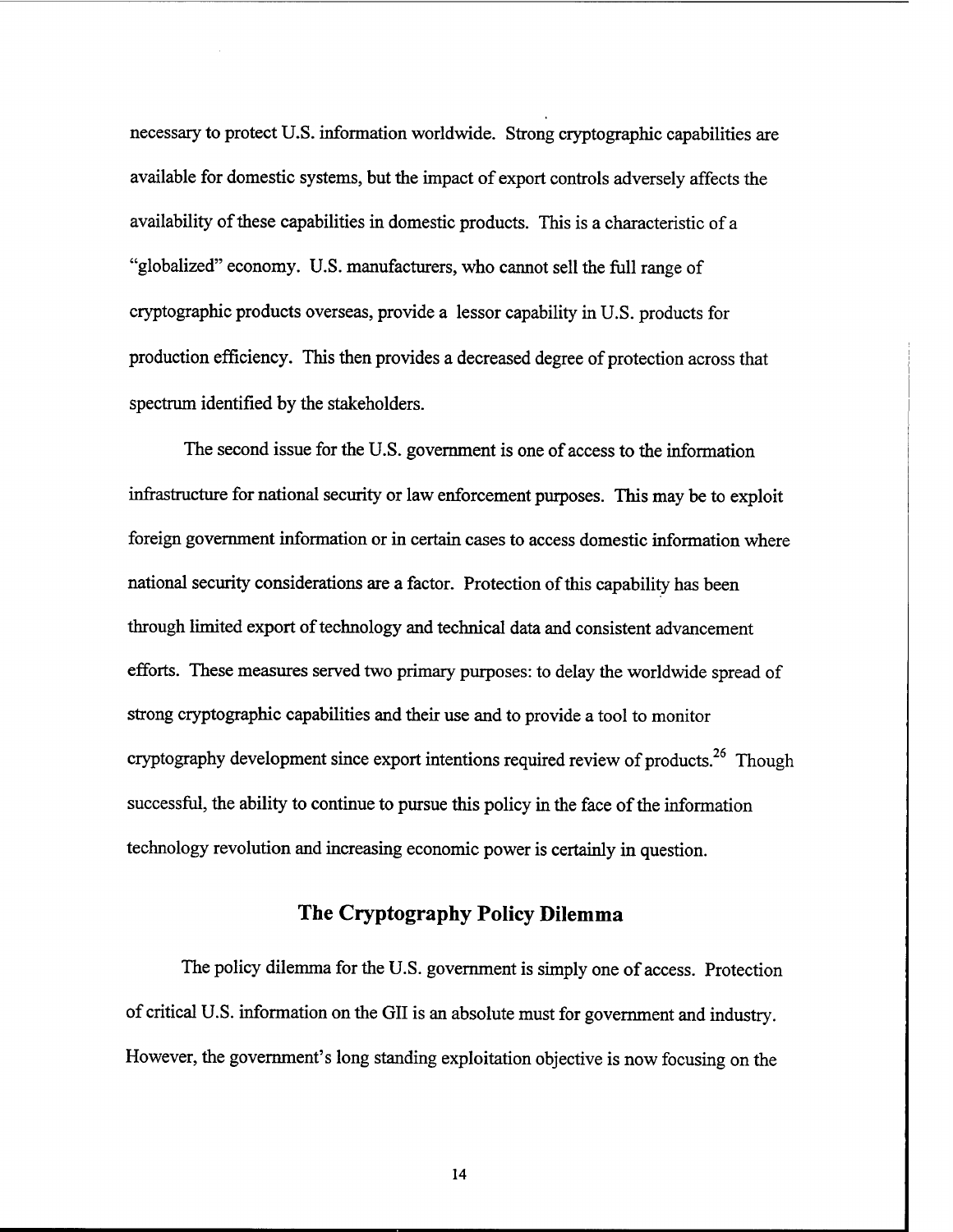necessary to protect U.S. information worldwide. Strong cryptographic capabilities are available for domestic systems, but the impact of export controls adversely affects the availability of these capabilities in domestic products. This is a characteristic of a "globalized" economy. U.S. manufacturers, who cannot sell the full range of cryptographic products overseas, provide a lessor capability in U.S. products for production efficiency. This then provides a decreased degree of protection across that spectrum identified by the stakeholders.

The second issue for the U.S. government is one of access to the information infrastructure for national security or law enforcement purposes. This may be to exploit foreign government information or in certain cases to access domestic information where national security considerations are a factor. Protection of this capability has been through limited export of technology and technical data and consistent advancement efforts. These measures served two primary purposes: to delay the worldwide spread of strong cryptographic capabilities and their use and to provide a tool to monitor cryptography development since export intentions required review of products.<sup>26</sup> Though successful, the ability to continue to pursue this policy in the face of the information technology revolution and increasing economic power is certainly in question.

# **The Cryptography Policy Dilemma**

The policy dilemma for the U.S. government is simply one of access. Protection of critical U.S. information on the GI1 is an absolute must for government and industry. However, the government's long standing exploitation objective is now focusing on the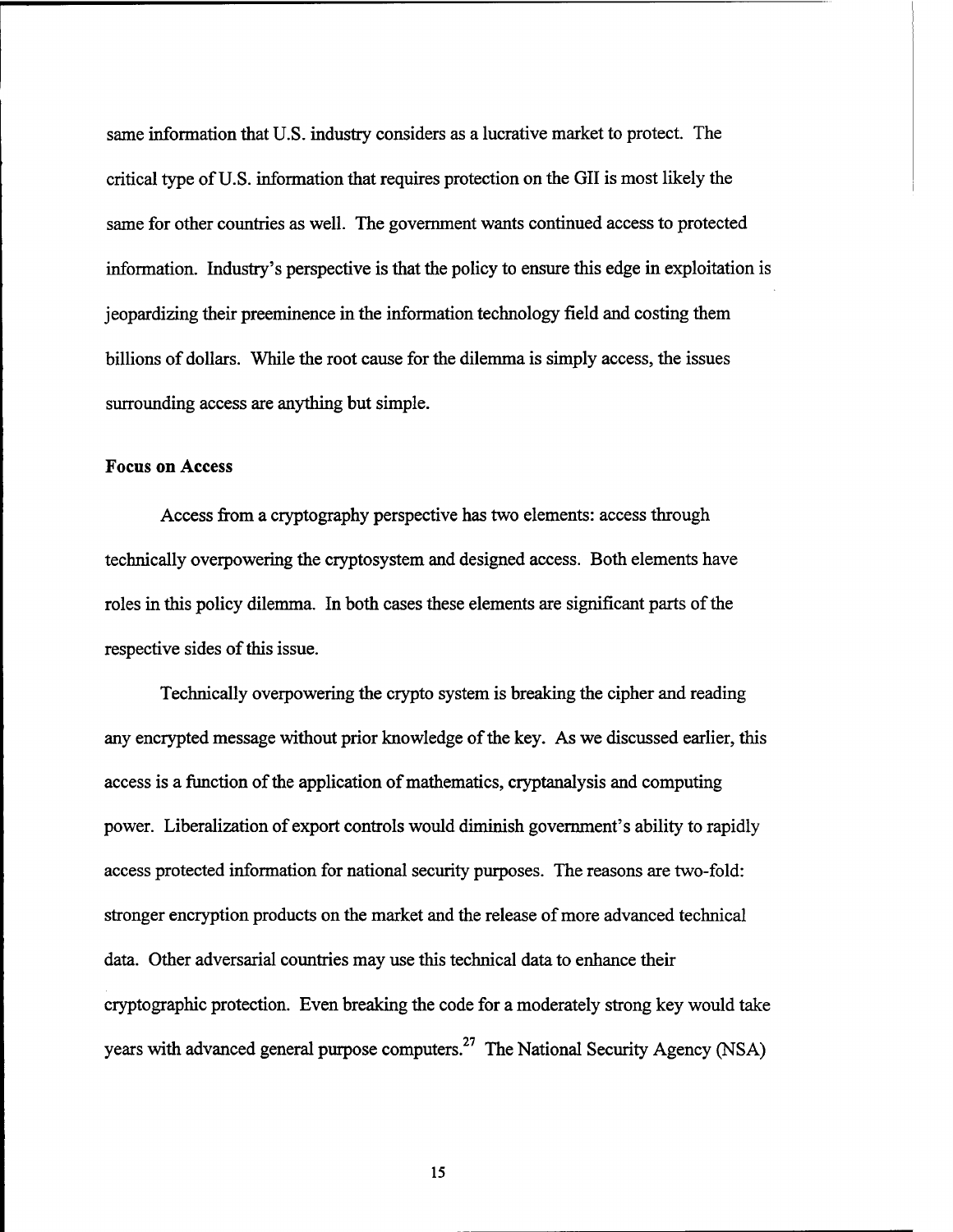same information that U.S. industry considers as a lucrative market to protect. The critical type of U.S. information that requires protection on the GI1 is most likely the same for other countries as well. The government wants continued access to protected information. Industry's perspective is that the policy to ensure this edge in exploitation is jeopardizing their preeminence in the information technology field and costing them billions of dollars. While the root cause for the dilemma is simply access, the issues surrounding access are anything but simple.

### **Focus on Access**

Access from a cryptography perspective has two elements: access through technically overpowering the cryptosystem and designed access. Both elements have roles in this policy dilemma. In both cases these elements are significant parts of the respective sides of this issue.

Technically overpowering the crypto system is breaking the cipher **and** reading any encrypted message without prior knowledge of the key. As we discussed earlier, this access is a function of the application of mathematics, cryptanalysis and computing power. Liberalization of export controls would diminish government's ability to rapidly access protected information for national security purposes. The reasons are two-fold: stronger encryption products on the market and the release of more advanced technical data. Other adversarial countries may use this technical data to enhance their cryptographic protection. Even breaking the code for a moderately strong key would take years with advanced general purpose computers.<sup>27</sup> The National Security Agency (NSA)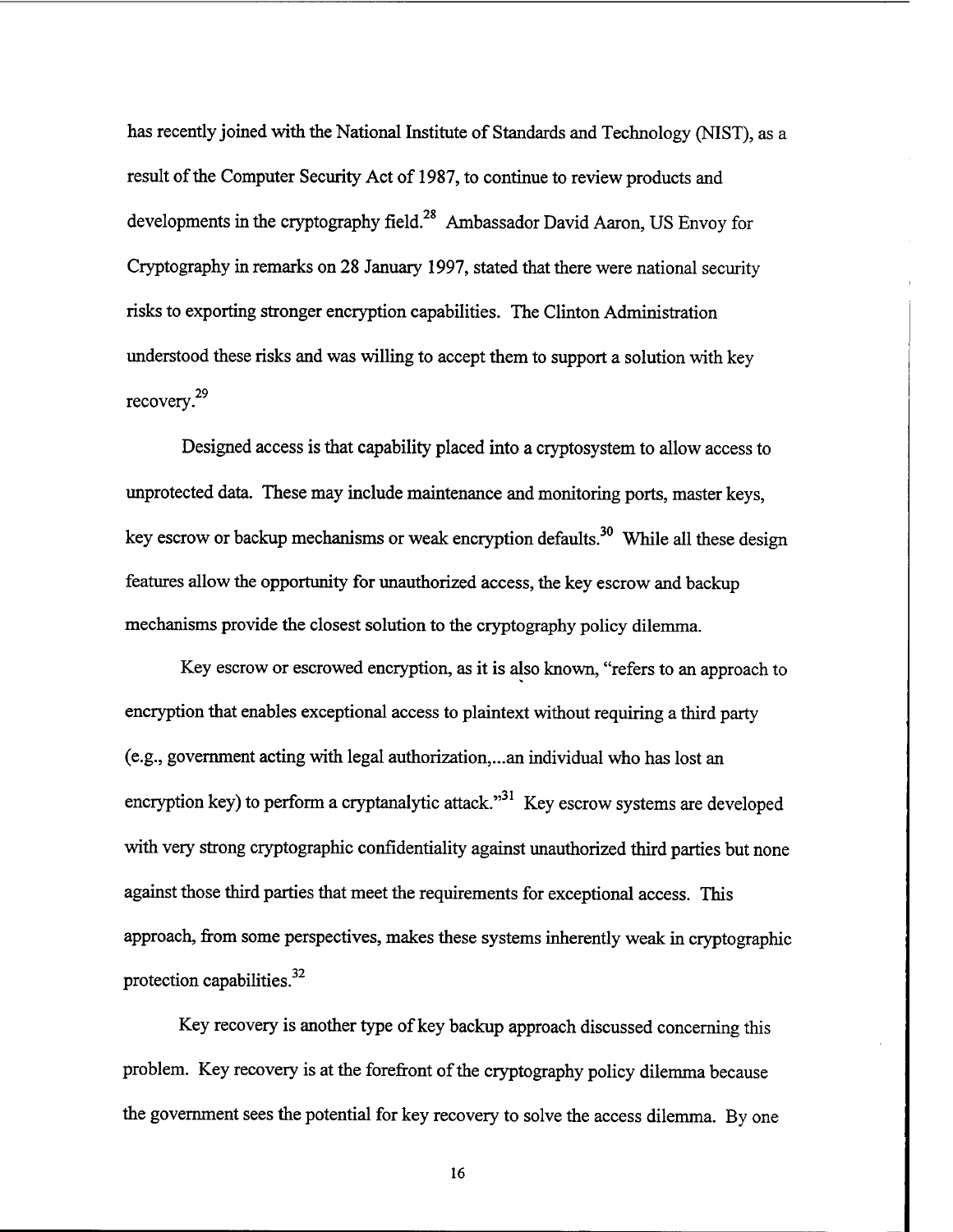has recently joined with the National Institute of Standards and Technology (NIST), as a result of the Computer Security Act of 1987, to continue to review products and developments in the cryptography field.<sup>28</sup> Ambassador David Aaron, US Envoy for Cryptography in remarks on 28 January 1997, stated that there were national security risks to exporting stronger encryption capabilities. The Clinton Administration understood these risks and was willing to accept them to support a solution with key recovery. 29

Designed access is that capability placed into a cryptosystem to allow access to unprotected data. These may include maintenance and monitoring ports, master keys, key escrow or backup mechanisms or weak encryption defaults.<sup>30</sup> While all these design features allow the opportunity for unauthorized access, the key escrow and backup mechanisms provide the closest solution to the cryptography policy dilemma.

Key escrow or escrowed encryption, as it is also known, "refers to an approach to encryption that enables exceptional access to plaintext without requiring a third party (e.g., government acting with legal authorization, ...an individual who has lost an encryption key) to perform a cryptanalytic attack."<sup>31</sup> Key escrow systems are developed with very strong cryptographic confidentiality against unauthorized third parties but none against those third parties that meet the requirements for exceptional access. This approach, from some perspectives, makes these systems inherently weak in cryptographic protection capabilities. $32$ 

Key recovery is another type of key backup approach discussed concerning this problem. Key recovery is at the forefront of the cryptography policy dilemma because the government sees the potential for key recovery to solve the access dilemma. By one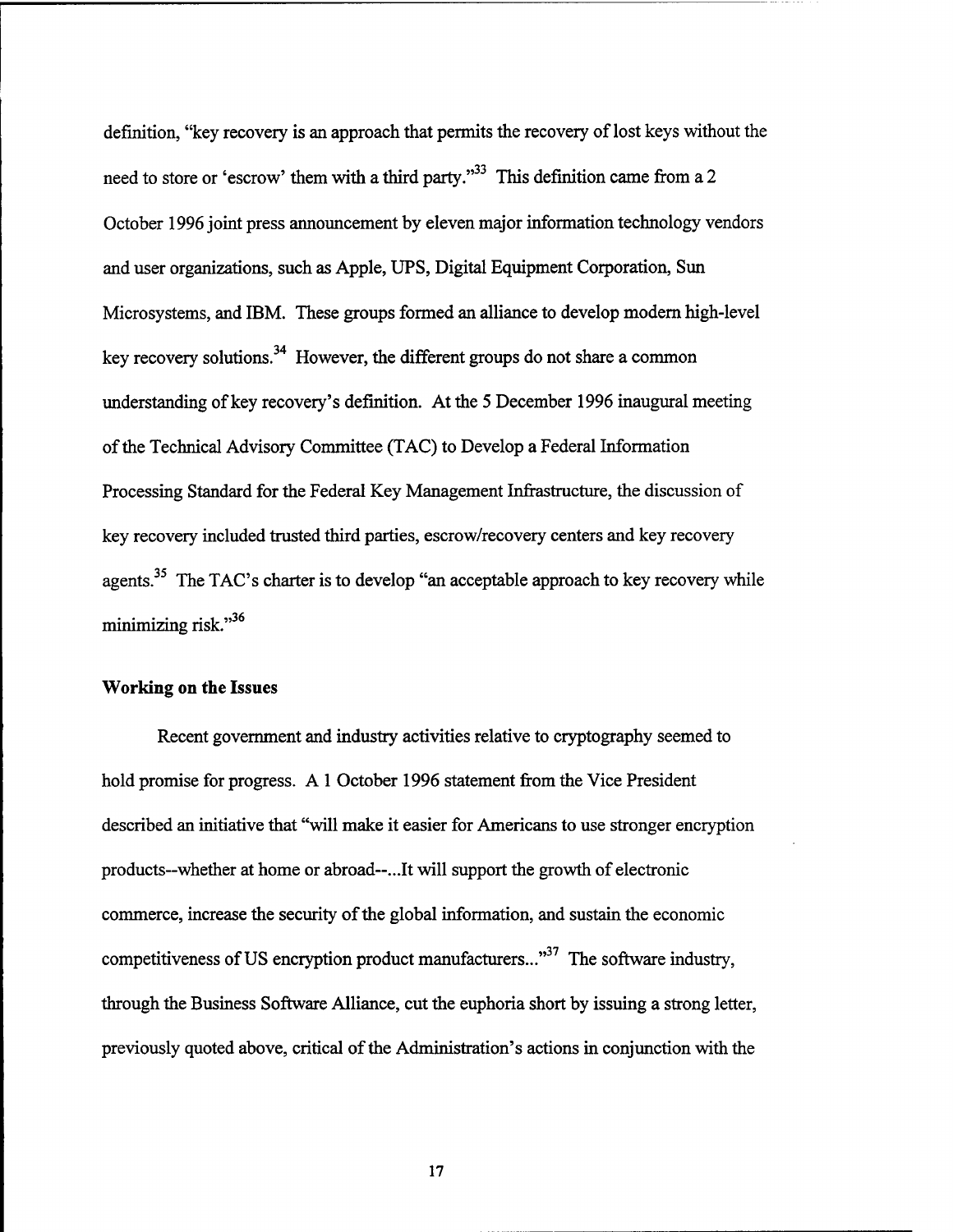definition, "key recovery is an approach that permits the recovery of lost keys without the need to store or 'escrow' them with a third party."<sup>33</sup> This definition came from a 2 October 1996 joint press announcement by eleven major information technology vendors and user organizations, such **as** Apple, UPS, Digital Equipment Corporation, Sun Microsystems, and IBM. These groups formed an alliance to develop modern high-level key recovery solutions.<sup>34</sup> However, the different groups do not share a common understanding of key recovery's definition. At the 5 December 1996 inaugural meeting of the Technical Advisory Committee (TAC) to Develop a Federal Information Processing Standard for the Federal Key Management Infrastructure, the discussion of key recovery included trusted third parties, escrow/recovery centers and key recovery agents.<sup>35</sup> The TAC's charter is to develop "an acceptable approach to key recovery while minimizing risk."<sup>36</sup>

## **Working on the Issues**

Recent government and industry activities relative to cryptography seemed to hold promise for progress. A 1 October 1996 statement fiom the Vice President described an initiative that "will make it easier for Americans to use stronger encryption products--whether at home or abroad-- ... It will support the growth of electronic commerce, increase the security of the global information, and sustain the economic competitiveness of US encryption product manufacturers..."<sup>37</sup> The software industry, through the Business Software Alliance, cut the euphoria short by issuing a strong letter, previously quoted above, critical of the Administration's actions in conjunction with the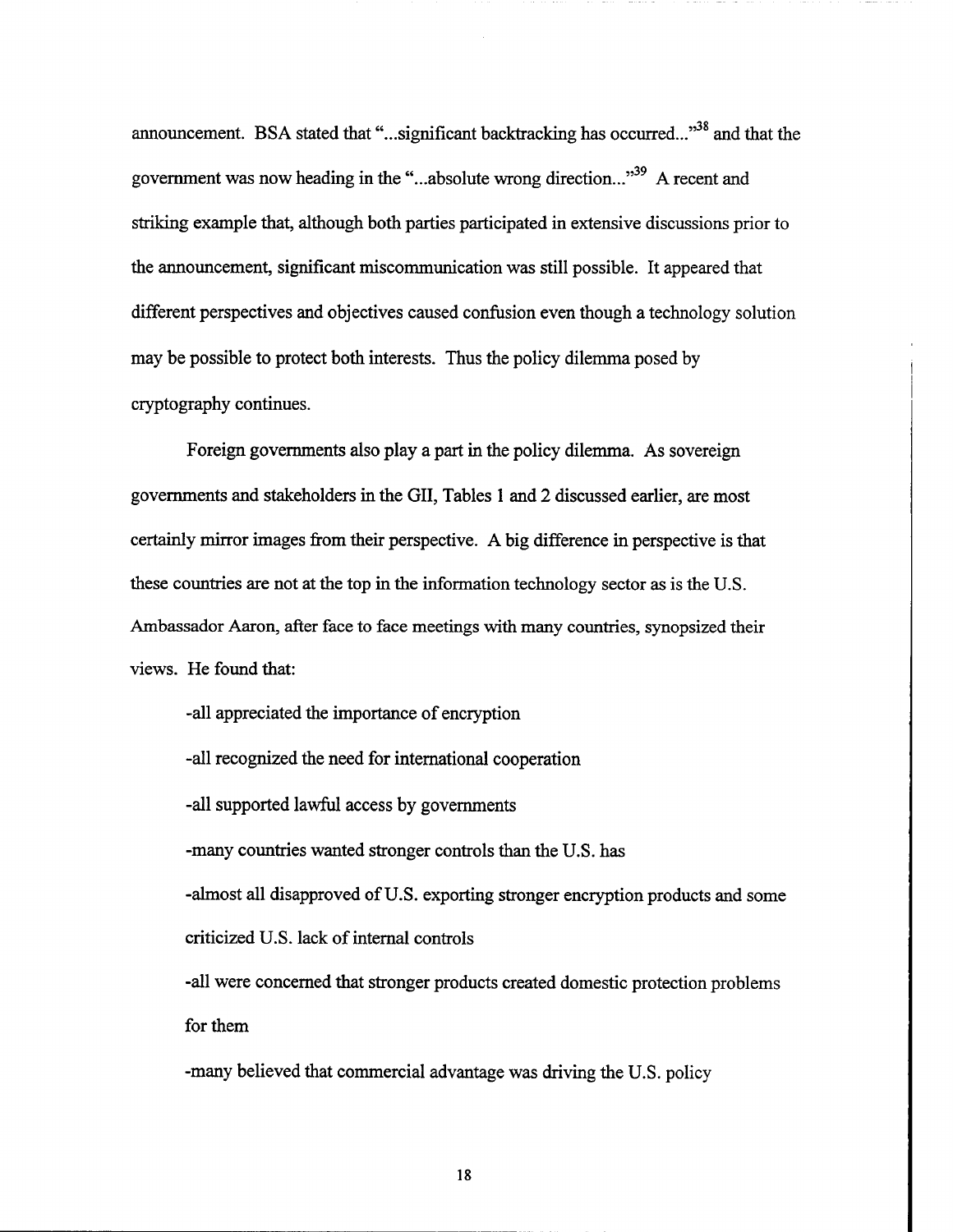announcement. BSA stated that "...significant backtracking has occurred..."<sup>38</sup> and that the government was now heading in the "...absolute wrong direction..."<sup>39</sup> A recent and striking example that, although both parties participated in extensive discussions prior to the announcement, significant miscommunication was still possible. It appeared that different perspectives and objectives caused confusion even though a technology solution may be possible to protect both interests. Thus the policy dilemma posed by cryptography continues.

Foreign governments also play a part in the policy dilemma. As sovereign governments and stakeholders in the GII, Tables 1 and 2 discussed earlier, are most certainly mirror images from their perspective. A big difference in perspective is that these countries are not at the top in the information technology sector as is the U.S. Ambassador Aaron, after face to face meetings with many countries, synopsized their views. He found that:

-all appreciated the importance of encryption -all recognized the need for international cooperation -all supported lawful access by governments -many countries wanted stronger controls than the U.S. has -almost all disapproved of U.S. exporting stronger encryption products and some criticized U.S. lack of internal controls -all were concerned that stronger products created domestic protection problems

for them

-many believed that commercial advantage was driving the U.S. policy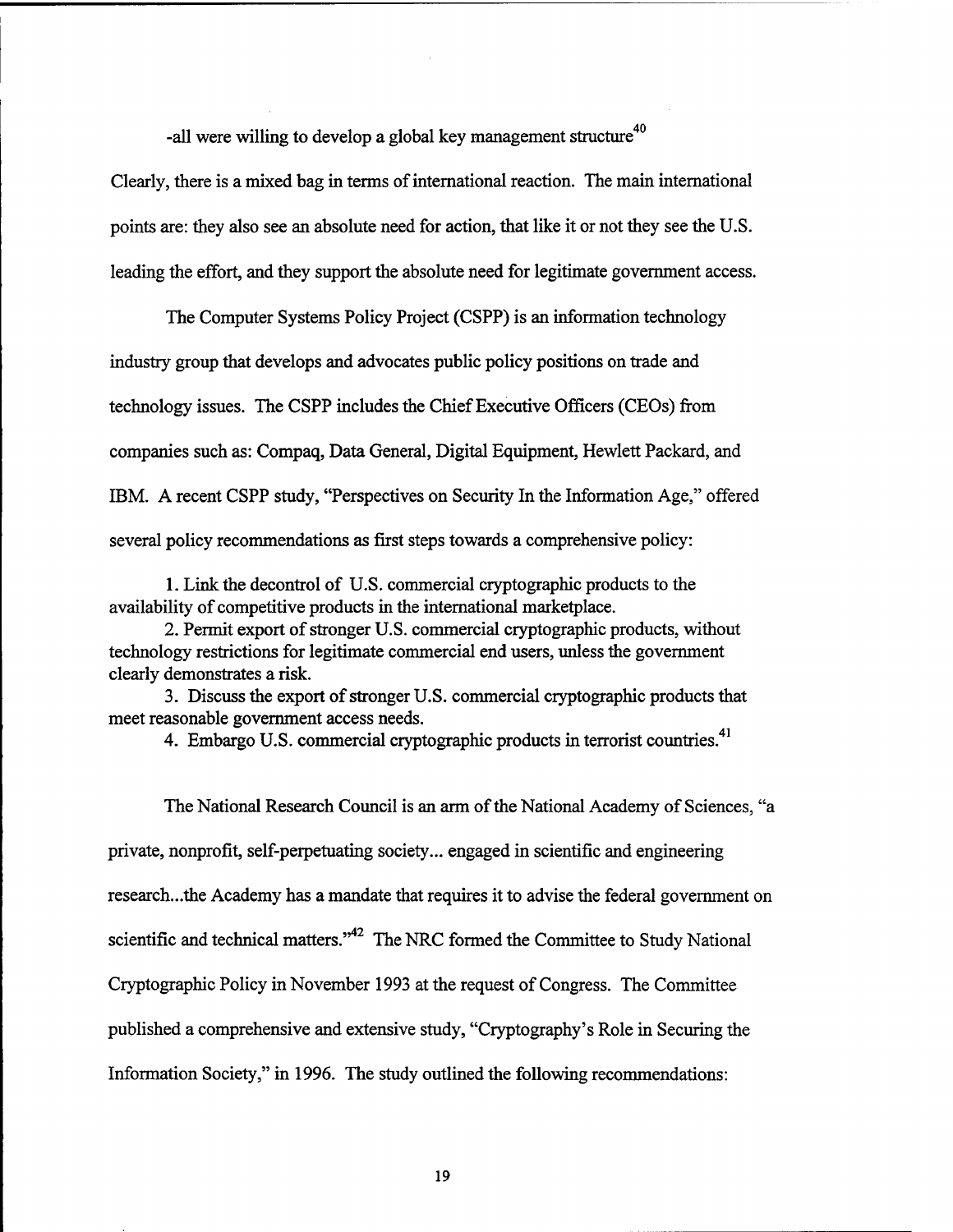-all were willing to develop a global key management structure $40$ 

Clearly, there is a mixed bag in terms of international reaction. The main international points are: they also see an absolute need for action, that like it or not they see the U.S. leading the effort, and they support the absolute need for legitimate government access.

The Computer Systems Policy Project (CSPP) is an information technology industry group that develops and advocates public policy positions on trade and technology issues. The CSPP includes the Chief Executive Officers (CEOs) from companies such **as:** Compaq, Data General, Digital Equipment, Hewlett Packard, and IBM. A recent CSPP study, "Perspectives on Security In the Information Age," offered several policy recommendations **as** first steps towards a comprehensive policy:

1. Link the decontrol of U.S. commercial cryptographic products to the availability of competitive products in the international marketplace.

2. Permit export of stronger U.S. commercial cryptographic products, without technology restrictions for legitimate commercial end users, unless the government clearly demonstrates a risk.

**3.** Discuss the export of stronger U.S. commercial cryptographic products that meet reasonable government access needs.

4. Embargo U.S. commercial cryptographic products in terrorist countries.<sup>41</sup>

The National Research Council is an **arm** of the National Academy of Sciences, "a private, nonprofit, self-perpetuating socie **ty...** engaged in scientific and engineering research ... the Academy has a mandate that requires it to advise the federal government on scientific and technical matters."<sup> $42$ </sup> The NRC formed the Committee to Study National Cryptographic Policy in November 1993 at the request of Congress. The Committee published a comprehensive and extensive study, "Cryptography's Role in Securing the Information Society," in 1996. The study outlined the following recommendations: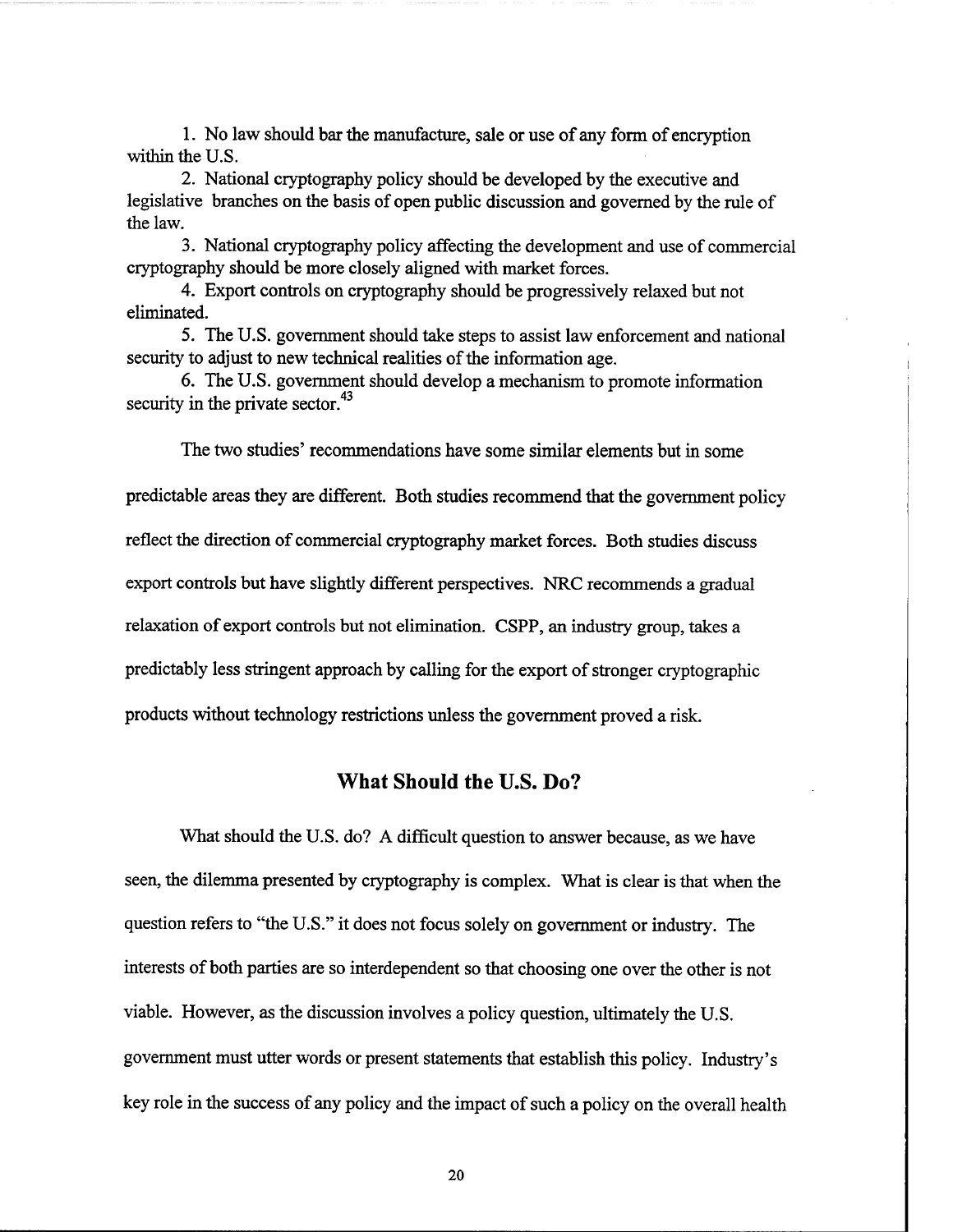1. No law should bar the manufacture, sale or use of any form of encryption within the U.S.

2. National cryptography policy should be developed by the executive and legislative branches on the basis of open public discussion and governed by the rule of the law.

**3.** National cryptography policy affecting the development and use of commercial cryptography should be more closely aligned with market forces.

4. Export controls on cryptography should be progressively relaxed but not eliminated.

5. The U.S. government should take steps to assist law enforcement and national security to adjust to new technical realities of the information age.

*6.* The U.S. government should develop a mechanism to promote information security in the private sector. $43$ 

The two studies' recommendations have some similar elements but in some predictable areas they are different. Both studies recommend that the government policy reflect the direction of commercial cryptography market forces. Both studies discuss export controls but have slightly different perspectives. NRC recommends a gradual relaxation of export controls but not elimination. CSPP, an industry group, takes a predictably less stringent approach by calling for the export of stronger cryptographic products without technology restrictions unless the government proved a risk.

## **What Should the U.S. Do?**

What should the U.S. do? **A** difficult question to answer because, as we have seen, the dilemma presented by cryptography is complex. What is clear is that when the question refers to "the U.S." it does not focus solely on government or industry. The interests of both parties are so interdependent so that choosing one over the other is not viable. However, as the discussion involves a policy question, ultimately the U.S. government must utter words or present statements that establish this policy. Industry's key role in the success of any policy and the impact of such a policy on the overall health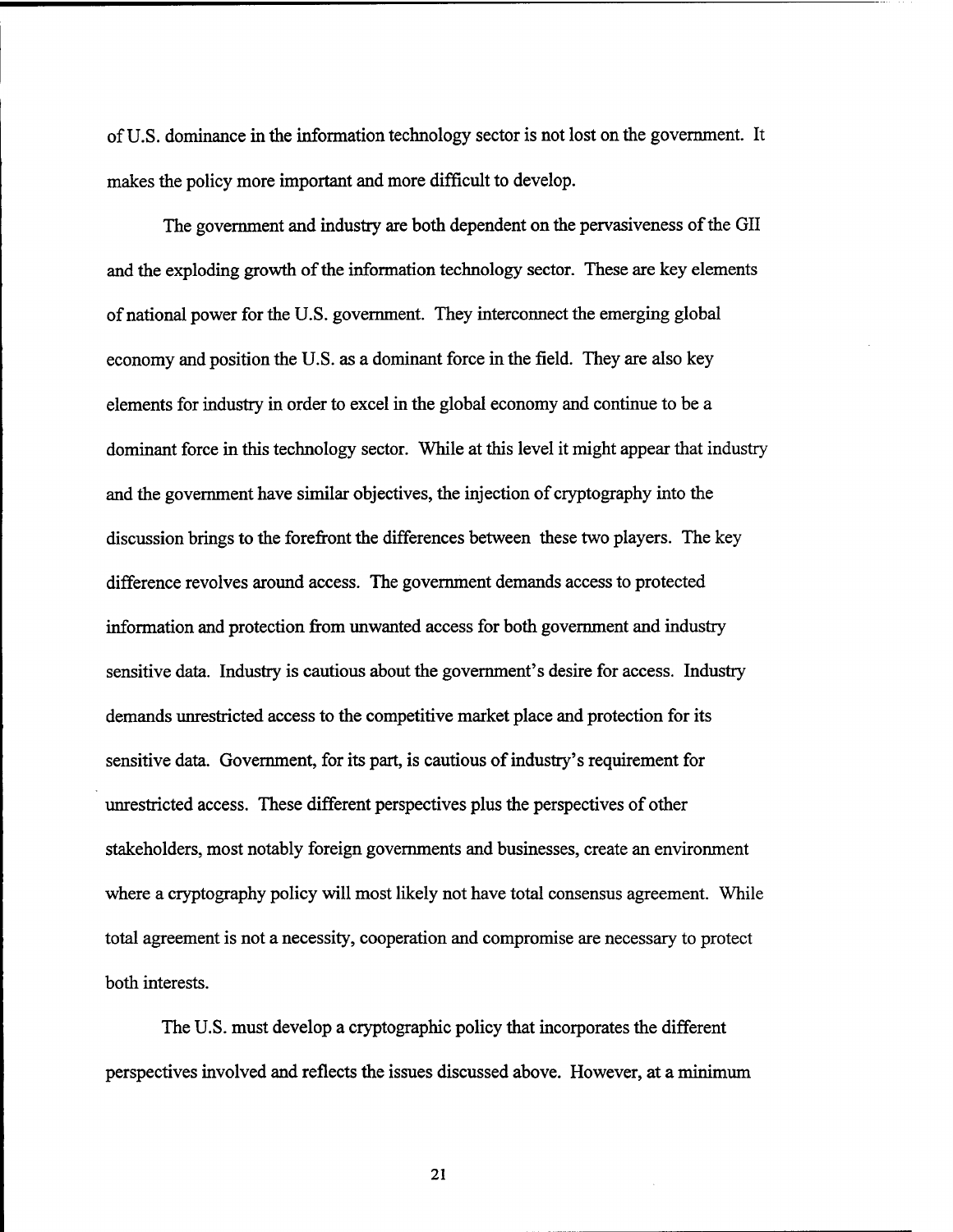of **U.S.** dominance in the information technology sector is not lost on the government. It makes the policy more important and more difficult to develop.

The government and industry are both dependent on the pervasiveness of the GI1 and the exploding growth of the information technology sector. These are key elements of national power for the **U.S.** government. They interconnect the emerging global economy and position the **U.S.** as a dominant force in the field. They are also key elements for industry in order to excel in the global economy and continue to be a dominant force in this technology sector. While at this level it might appear that industry and the government have similar objectives, the injection of cryptography into the discussion brings to the forefront the differences between these two players. The key difference revolves around access. The government demands access to protected information and protection fiom unwanted access for both government and industry sensitive **data.** Industry is cautious about the government's desire for access. Industry demands unrestricted access to the competitive market place and protection for its sensitive data. Government, for its part, is cautious of industry's requirement for unrestricted access. These different perspectives plus the perspectives of other stakeholders, most notably foreign governments and businesses, create an environment where a cryptography policy will most likely not have total consensus agreement. While total agreement is not a necessity, cooperation and compromise are necessary to protect both interests.

The **U.S.** must develop a cryptographic policy that incorporates the different perspectives involved and reflects the issues discussed above. However, at a minimum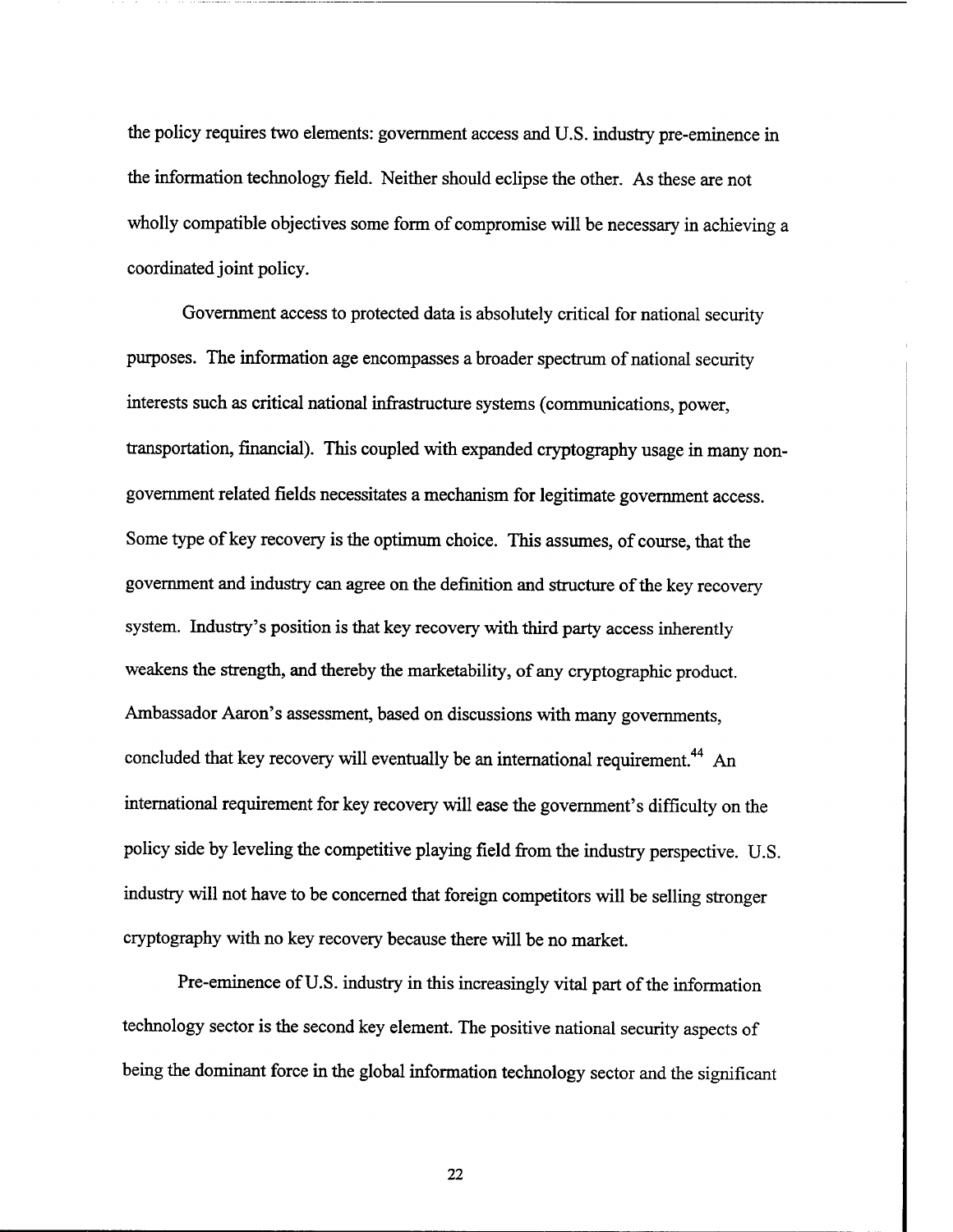the policy requires two elements: government access and U.S. industry pre-eminence in the information technology field. Neither should eclipse the other. As these are not wholly compatible objectives some form of compromise will be necessary in achieving a coordinated joint policy.

Government access to protected data is absolutely critical for national security purposes. The information age encompasses a broader spectrum of national security interests such as critical national infrastructure systems (communications, power, transportation, financial). This coupled with expanded cryptography usage in many nongovernment related fields necessitates a mechanism for legitimate government access. Some type of key recovery is the optimum choice. This assumes, of course, that the government and industry can agree on the definition and structure of the key recovery system. Industry's position is that key recovery with third party access inherently weakens the strength, and thereby the marketability, of any cryptographic product. Ambassador Aaron's assessment, based on discussions with many governments, concluded that key recovery will eventually be an international requirement.<sup>44</sup> An international requirement for key recovery will ease the government's difficulty on the policy side by leveling the competitive playing field fiom the industry perspective. U.S. industry will not have to be concerned that foreign competitors will be selling stronger cryptography with no key recovery because there will be no market.

Pre-eminence of U.S. industry in this increasingly vital part of the information technology sector is the second key element. The positive national security aspects of being the dominant force in the global information technology sector and the significant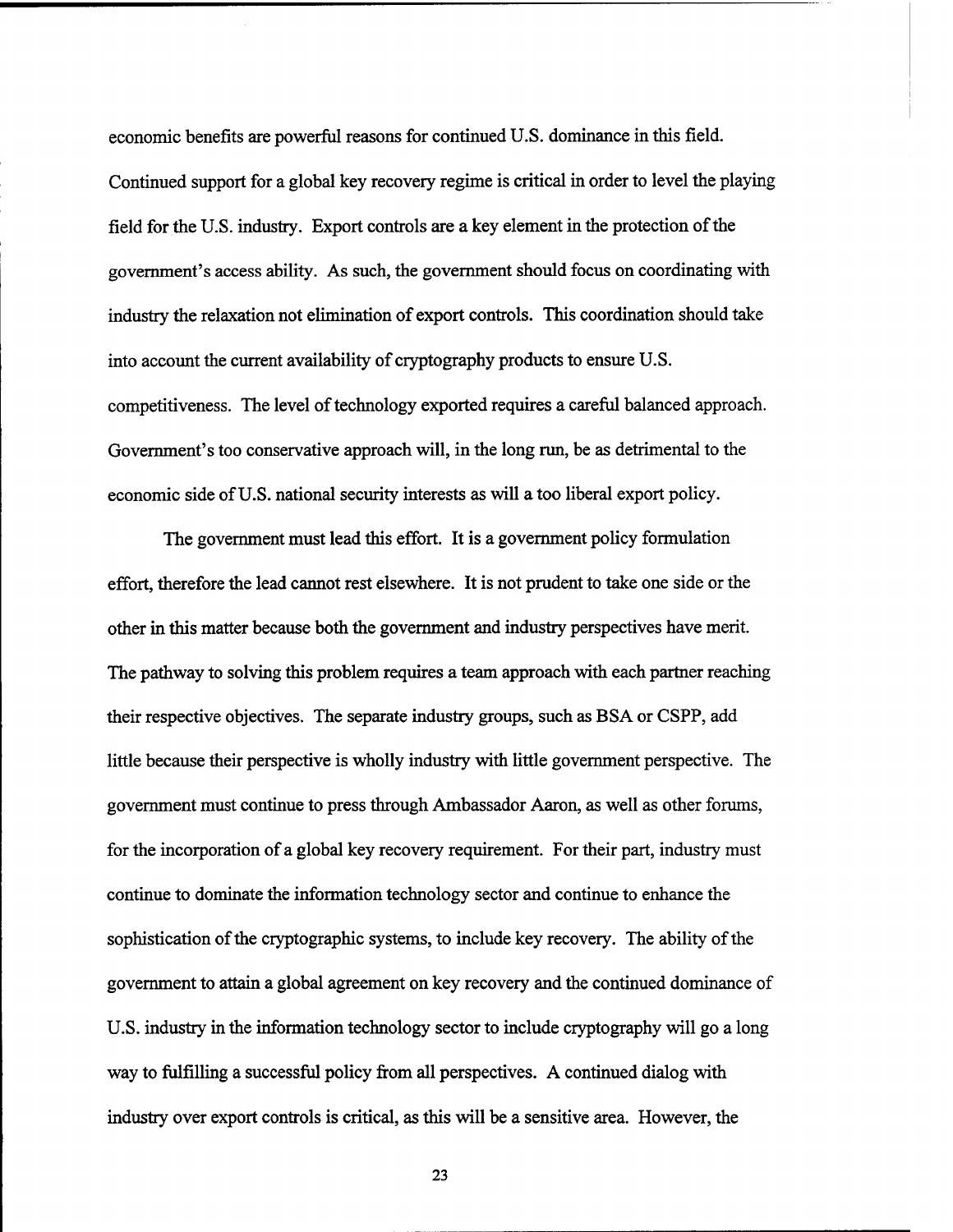economic benefits are powerful reasons for continued U.S. dominance in this field. Continued support for a global key recovery regime is critical in order to level the playing field for the U.S. industry. Export controls are a key element in the protection of the government's access ability. As such, the government should focus on coordinating with industry the relaxation not elimination of export controls. This coordination should take into account the current availability of cryptography products to ensure U.S. competitiveness. The level of technology exported requires a careful balanced approach. Government's too conservative approach will, in the long **run,** be as detrimental to the economic side of U.S. national security interests as will a too liberal export policy.

The government must lead this effort. It is a government policy formulation effort, therefore the lead cannot rest elsewhere. It is not prudent to take one side or the other in this matter because both the government and industry perspectives have merit. The pathway to solving this problem requires **a** team approach with each partner reaching their respective objectives. The separate industry groups, such as BSA or CSPP, add little because their perspective is wholly industry with little government perspective. The government must continue to press through Ambassador Aaron, as well as other forums, for the incorporation of a global key recovery requirement. For their part, industry must continue to dominate the information technology sector and continue to enhance the sophistication of the cryptographic systems, to include key recovery. The ability of the government to attain a global agreement on key recovery and the continued dominance of U.S. industry in the information technology sector to include cryptography will go a long way to fuifilling a successful policy from all perspectives. **A** continued dialog with industry over export controls is critical, as this will be a sensitive area. However, the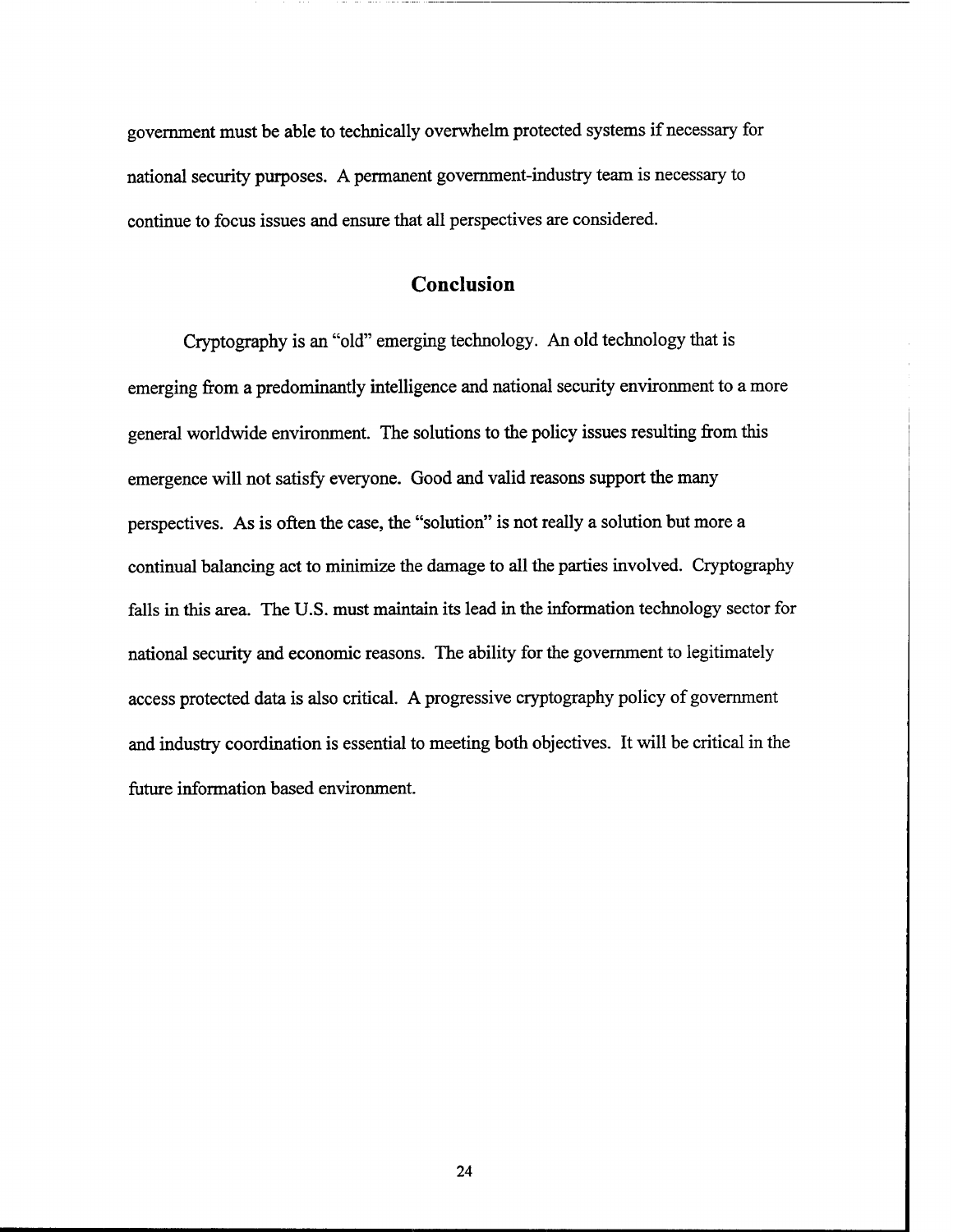government must be able to technically overwhelm protected systems if necessary for national security purposes. **A** permanent government-industry team is necessary to continue to focus issues and ensure that all perspectives are considered.

# **Conclusion**

Cryptography is an "old" emerging technology. An old technology that is emerging fiom a predominantly intelligence and national security environment to a more general worldwide environment. The solutions to the policy issues resulting fiom this emergence will not satisfy everyone. Good and valid reasons support the many perspectives. As is often the case, the "solution" is not really a solution but more a continual balancing act to minimize the damage to all the parties involved. Cryptography falls in this area. The U.S. must maintain **its** lead in the information technology sector for national security and economic reasons. The ability for the government to legitimately access protected data is also critical. **A** progressive cryptography policy of government and industry coordination is essential to meeting both objectives. It will be critical in the future information based environment.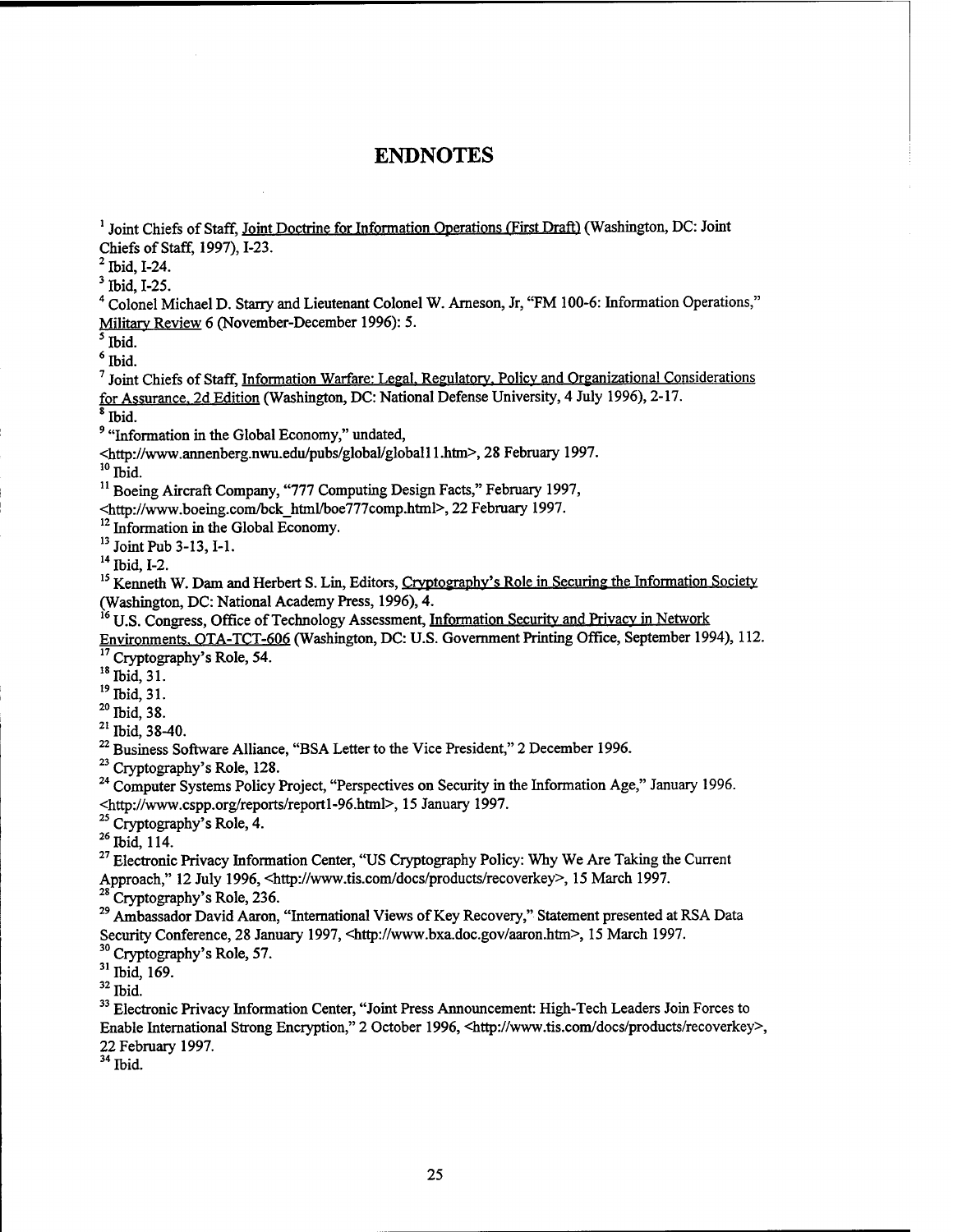## **ENDNOTES**

<sup>1</sup> Joint Chiefs of Staff, Joint Doctrine for Information Operations (First Draft) (Washington, DC: Joint Chiefs of Staff, 1997), 1-23.  $<sup>2</sup>$  Ibid, I-24.</sup>  $3$  Ibid, I-25. Colonel Michael D. Starry and Lieutenant Colonel W. Arneson, Jr, "FM 100-6: Information Operations," Military Review 6 (November-December 1996): 5. <sup>5</sup> Ibid.  $^6$ Ibid. <sup>7</sup> Joint Chiefs of Staff, Information Warfare: Legal, Regulatory, Policy and Organizational Considerations for Assurance. 2d Edition (Washington, DC: National Defense University, 4 July 1996), 2-17. **<sup>8</sup>**Ibid. <sup>9</sup> "Information in the Global Economy," undated, **~http://www.annenberg.nwu.edu~pubs/glob~ll** .htm>, 28 February 1997. **lo** Ibid. <sup>11</sup> Boeing Aircraft Company, "777 Computing Design Facts," February 1997, <http://www.boeing.com/bck\_html/boe777comp.html>, 22 February 1997. <sup>12</sup> Information in the Global Economy. **l3** Joint Pub 3-13,I-1. **<sup>14</sup>**Ibid, 1-2. <sup>15</sup> Kenneth W. Dam and Herbert S. Lin, Editors, Cryptography's Role in Securing the Information Society (Washington, DC: National Academy Press, 1996), 4. <sup>16</sup> U.S. Congress, Office of Technology Assessment, Information Security and Privacy in Network Environments. OTA-TCT-606 (Washington, DC: U.S. Government Printing Ofice, September 1994), 112. **<sup>17</sup>**Cryptography's Role, 54. <sup>18</sup> Ibid, 31. **l9** hid, 31. **<sup>20</sup>**Ibid, 38. **2'** Ibid, 38-40. 22 Business Software Alliance, "BSA Letter to the Vice President," 2 December 1996. **<sup>23</sup>**Cryptography's Role, 128. <sup>24</sup> Computer Systems Policy Project, "Perspectives on Security in the Information Age," January 1996. <http://www.cspp.org/reports/report1-96.html>, 15 January 1997. <sup>25</sup> Cryptography's Role, 4. **<sup>26</sup>**Ibid, 1 14. <sup>27</sup> Electronic Privacy Information Center, "US Cryptography Policy: Why We Are Taking the Current Approach," 12 July 1996, <http://www.tis.com/docs/products/recoverkey>. 15 March 1997. <sup>28</sup>Cryptography's Role, 236. <sup>29</sup> Ambassador David Aaron, "International Views of Key Recovery," Statement presented at RSA Data Security Conference, 28 January 1997, **~http://www.bxa.doc.gov/aaron.htm>,** 15 March 1997. **<sup>30</sup>**Cryptography's Role, 57. **<sup>31</sup>**Ibid, 169.  $32$  Ibid. <sup>33</sup> Electronic Privacy Information Center, "Joint Press Announcement: High-Tech Leaders Join Forces to Enable International Strong Encryption," 2 October 1996, <http://www.tis.com/docs/products/recoverkey>, 22 February 1997. **<sup>34</sup>**Ibid.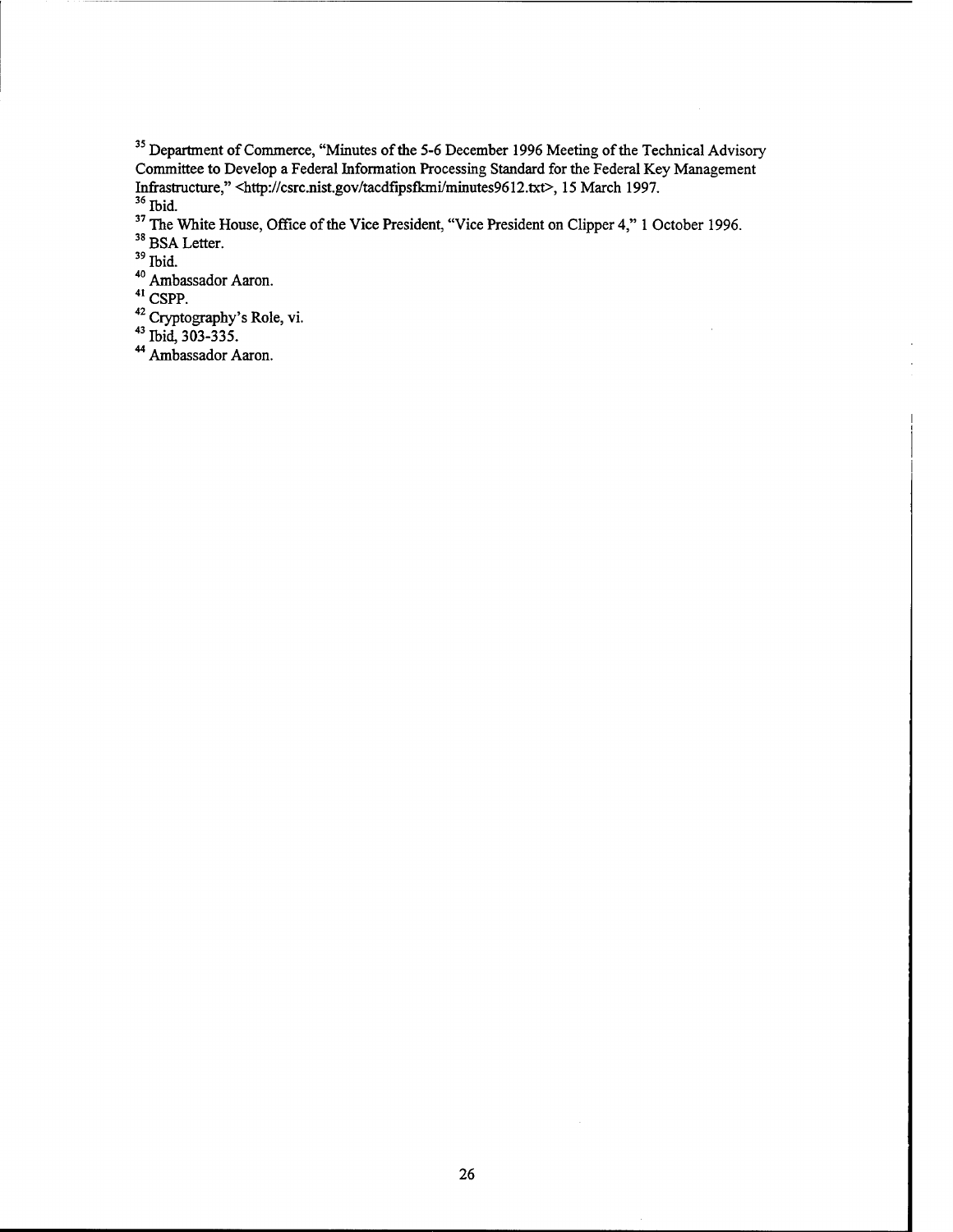<sup>33</sup> Department of Commerce, "Minutes of the 5-6 December 1996 Meeting of the Technical Advisory Committee to Develop a Federal Information Processing Standard for the Federal Key Management Infrastructure," <http://csrc.nist.gov/tacdfipsfkmi/minutes9612.txt>, 15 March 1997.<br><sup>36</sup> Ibid.

<sup>36</sup> Ibid.<br><sup>37</sup>The White House, Office of the Vice President, "Vice President on Clipper 4," 1 October 1996.

<sup>38</sup> BSA Letter.

 $\frac{39}{10}$  Ibid.

**<sup>40</sup>**Ambassador Aaron.

**<sup>41</sup>CSPP.** 

**<sup>42</sup>**Cryptography's Role, vi.

**<sup>43</sup>**Ibid, 303-335. **<sup>44</sup>**Ambassador Aaron.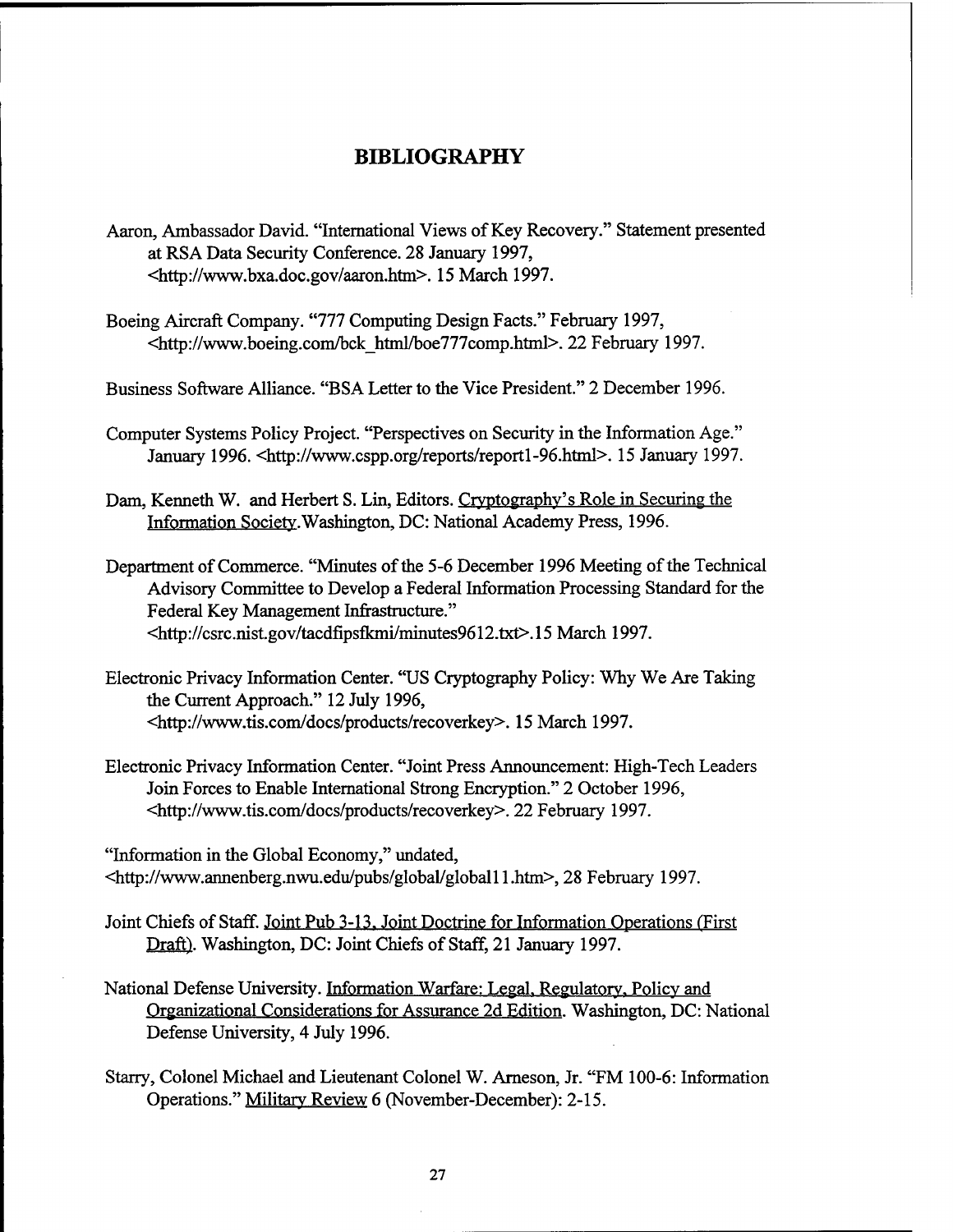# **BIBLIOGRAPHY**

- Aaron, Ambassador David. "International Views of Key Recovery." Statement presented at RSA Data Security Conference. 28 January 1 997, <http://www.bxa.doc.gov/aaron. htm>. 1 5 March 1 997.
- Boeing Aircraft Company. "777 Computing Design Facts." February 1997, **<http://www.boeing.com/bck~htmVboe777comp.hl.22** February 1997

Business Software Alliance. "BSA Letter to the Vice President." 2 December 1996.

- Computer Systems Policy Project. "Perspectives on Security in the Information Age." January 1996. **<http://www.cspp.org/reports/reportl-96.htmb.** 15 January 1997.
- Dam, Kenneth W. and Herbert S. Lin, Editors. Cryptography's Role in Securing the Jnformation Society. Washington, DC: National Academy Press, 1996.
- Department of Commerce. "Minutes of the 5-6 December 1996 Meeting of the Technical Advisory Committee to Develop a Federal Information Processing Standard for the Federal Key Management Infrastructure." <http://csrc.nist.gov/tacdfipsfkmi/minutes9612.txt>.15 March 1997.
- Electronic Privacy Information Center. "US Cryptography Policy: Why We Are Taking the Current Approach." 12 July 1996, <http://www.tis.com/docs/products/recoverkey. 15 March 1997.
- Electronic Privacy Information Center. "Joint Press Announcement: High-Tech Leaders Join Forces to Enable International Strong Encryption." 2 October 1996, <http://www.tis.com/docs/products/recoverkey>. 22 February 1997.
- "Information in the Global Economy," undated, **<http://www.annenberg.nwu.edu~pubs/globagloball 1** .htrn>, *28* February 1997.
- Joint Chiefs of Staff. Joint Pub 3-13. Joint Doctrine for Information Operations (First Draft). Washington, DC: Joint Chiefs of Staff, 21 January 1997.
- National Defense University. Information Warfare: Legal. Regulatory. Policy and Organizational Considerations for Assurance 2d Edition. Washington, DC: National Defense University, 4 July 1996.
- Starry, Colonel Michael and Lieutenant Colonel W. Arneson, Jr. "FM 100-6: Information Operations." Military Review 6 (November-December): 2-15.